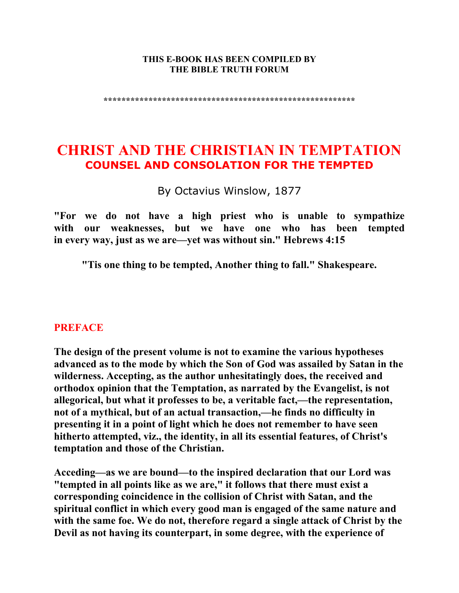#### **THIS E-BOOK HAS BEEN COMPILED BY THE BIBLE TRUTH FORUM**

**\*\*\*\*\*\*\*\*\*\*\*\*\*\*\*\*\*\*\*\*\*\*\*\*\*\*\*\*\*\*\*\*\*\*\*\*\*\*\*\*\*\*\*\*\*\*\*\*\*\*\*\*\*\*\*\*** 

# **CHRIST AND THE CHRISTIAN IN TEMPTATION COUNSEL AND CONSOLATION FOR THE TEMPTED**

By Octavius Winslow, 1877

**"For we do not have a high priest who is unable to sympathize with our weaknesses, but we have one who has been tempted in every way, just as we are—yet was without sin." Hebrews 4:15** 

**"Tis one thing to be tempted, Another thing to fall." Shakespeare.** 

#### **PREFACE**

**The design of the present volume is not to examine the various hypotheses advanced as to the mode by which the Son of God was assailed by Satan in the wilderness. Accepting, as the author unhesitatingly does, the received and orthodox opinion that the Temptation, as narrated by the Evangelist, is not allegorical, but what it professes to be, a veritable fact,—the representation, not of a mythical, but of an actual transaction,—he finds no difficulty in presenting it in a point of light which he does not remember to have seen hitherto attempted, viz., the identity, in all its essential features, of Christ's temptation and those of the Christian.** 

**Acceding—as we are bound—to the inspired declaration that our Lord was "tempted in all points like as we are," it follows that there must exist a corresponding coincidence in the collision of Christ with Satan, and the spiritual conflict in which every good man is engaged of the same nature and with the same foe. We do not, therefore regard a single attack of Christ by the Devil as not having its counterpart, in some degree, with the experience of**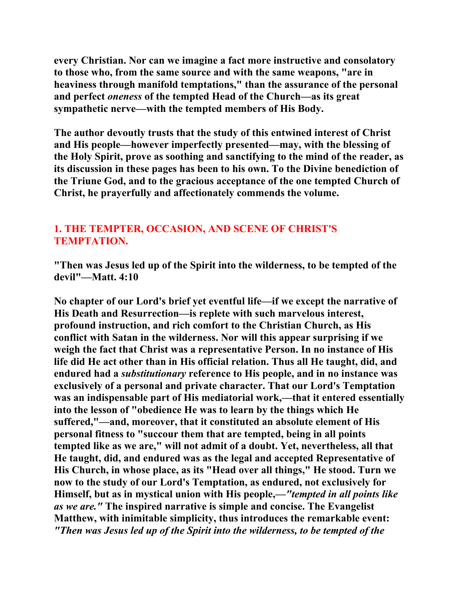**every Christian. Nor can we imagine a fact more instructive and consolatory to those who, from the same source and with the same weapons, "are in heaviness through manifold temptations," than the assurance of the personal and perfect** *oneness* **of the tempted Head of the Church—as its great sympathetic nerve—with the tempted members of His Body.** 

**The author devoutly trusts that the study of this entwined interest of Christ and His people—however imperfectly presented—may, with the blessing of the Holy Spirit, prove as soothing and sanctifying to the mind of the reader, as its discussion in these pages has been to his own. To the Divine benediction of the Triune God, and to the gracious acceptance of the one tempted Church of Christ, he prayerfully and affectionately commends the volume.** 

# **1. THE TEMPTER, OCCASION, AND SCENE OF CHRIST'S TEMPTATION.**

**"Then was Jesus led up of the Spirit into the wilderness, to be tempted of the devil"—Matt. 4:10** 

**No chapter of our Lord's brief yet eventful life—if we except the narrative of His Death and Resurrection—is replete with such marvelous interest, profound instruction, and rich comfort to the Christian Church, as His conflict with Satan in the wilderness. Nor will this appear surprising if we weigh the fact that Christ was a representative Person. In no instance of His life did He act other than in His official relation. Thus all He taught, did, and endured had a** *substitutionary* **reference to His people, and in no instance was exclusively of a personal and private character. That our Lord's Temptation was an indispensable part of His mediatorial work,—that it entered essentially into the lesson of "obedience He was to learn by the things which He suffered,"—and, moreover, that it constituted an absolute element of His personal fitness to "succour them that are tempted, being in all points tempted like as we are," will not admit of a doubt. Yet, nevertheless, all that He taught, did, and endured was as the legal and accepted Representative of His Church, in whose place, as its "Head over all things," He stood. Turn we now to the study of our Lord's Temptation, as endured, not exclusively for Himself, but as in mystical union with His people,—***"tempted in all points like as we are."* **The inspired narrative is simple and concise. The Evangelist Matthew, with inimitable simplicity, thus introduces the remarkable event:**  *"Then was Jesus led up of the Spirit into the wilderness, to be tempted of the*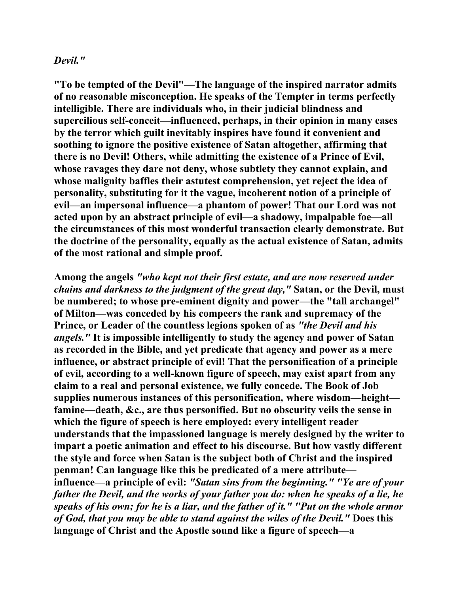#### *Devil."*

**"To be tempted of the Devil"—The language of the inspired narrator admits of no reasonable misconception. He speaks of the Tempter in terms perfectly intelligible. There are individuals who, in their judicial blindness and supercilious self-conceit—influenced, perhaps, in their opinion in many cases by the terror which guilt inevitably inspires have found it convenient and soothing to ignore the positive existence of Satan altogether, affirming that there is no Devil! Others, while admitting the existence of a Prince of Evil, whose ravages they dare not deny, whose subtlety they cannot explain, and whose malignity baffles their astutest comprehension, yet reject the idea of personality, substituting for it the vague, incoherent notion of a principle of evil—an impersonal influence—a phantom of power! That our Lord was not acted upon by an abstract principle of evil—a shadowy, impalpable foe—all the circumstances of this most wonderful transaction clearly demonstrate. But the doctrine of the personality, equally as the actual existence of Satan, admits of the most rational and simple proof.** 

**Among the angels** *"who kept not their first estate, and are now reserved under chains and darkness to the judgment of the great day,"* **Satan, or the Devil, must be numbered; to whose pre-eminent dignity and power—the "tall archangel" of Milton—was conceded by his compeers the rank and supremacy of the Prince, or Leader of the countless legions spoken of as** *"the Devil and his angels."* **It is impossible intelligently to study the agency and power of Satan as recorded in the Bible, and yet predicate that agency and power as a mere influence, or abstract principle of evil! That the personification of a principle of evil, according to a well-known figure of speech, may exist apart from any claim to a real and personal existence, we fully concede. The Book of Job supplies numerous instances of this personification***,* **where wisdom—height famine—death, &c., are thus personified. But no obscurity veils the sense in which the figure of speech is here employed: every intelligent reader understands that the impassioned language is merely designed by the writer to impart a poetic animation and effect to his discourse. But how vastly different the style and force when Satan is the subject both of Christ and the inspired penman! Can language like this be predicated of a mere attribute influence—a principle of evil:** *"Satan sins from the beginning." "Ye are of your father the Devil, and the works of your father you do: when he speaks of a lie, he speaks of his own; for he is a liar, and the father of it." "Put on the whole armor of God, that you may be able to stand against the wiles of the Devil."* **Does this language of Christ and the Apostle sound like a figure of speech—a**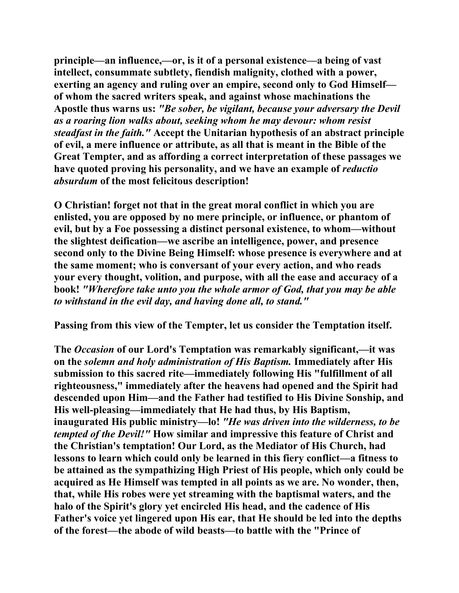**principle—an influence,—or, is it of a personal existence—a being of vast intellect, consummate subtlety, fiendish malignity, clothed with a power, exerting an agency and ruling over an empire, second only to God Himself of whom the sacred writers speak, and against whose machinations the Apostle thus warns us:** *"Be sober, be vigilant, because your adversary the Devil as a roaring lion walks about, seeking whom he may devour: whom resist steadfast in the faith."* **Accept the Unitarian hypothesis of an abstract principle of evil, a mere influence or attribute, as all that is meant in the Bible of the Great Tempter, and as affording a correct interpretation of these passages we have quoted proving his personality, and we have an example of** *reductio absurdum* **of the most felicitous description!** 

**O Christian! forget not that in the great moral conflict in which you are enlisted, you are opposed by no mere principle, or influence, or phantom of evil, but by a Foe possessing a distinct personal existence, to whom—without the slightest deification—we ascribe an intelligence, power, and presence second only to the Divine Being Himself: whose presence is everywhere and at the same moment; who is conversant of your every action, and who reads your every thought, volition, and purpose, with all the ease and accuracy of a book!** *"Wherefore take unto you the whole armor of God, that you may be able to withstand in the evil day, and having done all, to stand."* 

**Passing from this view of the Tempter, let us consider the Temptation itself.** 

**The** *Occasion* **of our Lord's Temptation was remarkably significant,—it was on the** *solemn and holy administration of His Baptism.* **Immediately after His submission to this sacred rite—immediately following His "fulfillment of all righteousness," immediately after the heavens had opened and the Spirit had descended upon Him—and the Father had testified to His Divine Sonship, and His well-pleasing—immediately that He had thus, by His Baptism, inaugurated His public ministry—lo!** *"He was driven into the wilderness, to be tempted of the Devil!"* **How similar and impressive this feature of Christ and the Christian's temptation! Our Lord, as the Mediator of His Church, had lessons to learn which could only be learned in this fiery conflict—a fitness to be attained as the sympathizing High Priest of His people, which only could be acquired as He Himself was tempted in all points as we are. No wonder, then, that, while His robes were yet streaming with the baptismal waters, and the halo of the Spirit's glory yet encircled His head, and the cadence of His Father's voice yet lingered upon His ear, that He should be led into the depths of the forest—the abode of wild beasts—to battle with the "Prince of**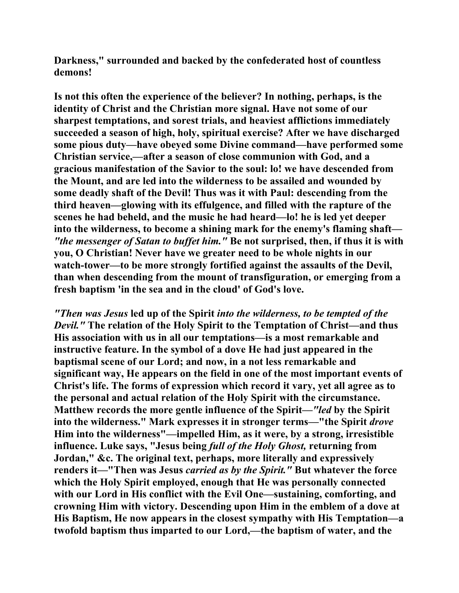**Darkness," surrounded and backed by the confederated host of countless demons!** 

**Is not this often the experience of the believer? In nothing, perhaps, is the identity of Christ and the Christian more signal. Have not some of our sharpest temptations, and sorest trials, and heaviest afflictions immediately succeeded a season of high, holy, spiritual exercise? After we have discharged some pious duty—have obeyed some Divine command—have performed some Christian service,—after a season of close communion with God, and a gracious manifestation of the Savior to the soul: lo! we have descended from the Mount, and are led into the wilderness to be assailed and wounded by some deadly shaft of the Devil! Thus was it with Paul: descending from the third heaven—glowing with its effulgence, and filled with the rapture of the scenes he had beheld, and the music he had heard—lo! he is led yet deeper into the wilderness, to become a shining mark for the enemy's flaming shaft—** *"the messenger of Satan to buffet him."* **Be not surprised, then, if thus it is with you, O Christian! Never have we greater need to be whole nights in our watch-tower—to be more strongly fortified against the assaults of the Devil, than when descending from the mount of transfiguration, or emerging from a fresh baptism 'in the sea and in the cloud' of God's love.** 

*"Then was Jesus* **led up of the Spirit** *into the wilderness, to be tempted of the Devil."* **The relation of the Holy Spirit to the Temptation of Christ—and thus His association with us in all our temptations—is a most remarkable and instructive feature. In the symbol of a dove He had just appeared in the baptismal scene of our Lord; and now, in a not less remarkable and significant way, He appears on the field in one of the most important events of Christ's life. The forms of expression which record it vary, yet all agree as to the personal and actual relation of the Holy Spirit with the circumstance. Matthew records the more gentle influence of the Spirit—***"led* **by the Spirit into the wilderness." Mark expresses it in stronger terms—"the Spirit** *drove*  **Him into the wilderness"—impelled Him, as it were, by a strong, irresistible influence. Luke says, "Jesus being** *full of the Holy Ghost,* **returning from Jordan," &c. The original text, perhaps, more literally and expressively renders it—"Then was Jesus** *carried as by the Spirit."* **But whatever the force which the Holy Spirit employed, enough that He was personally connected with our Lord in His conflict with the Evil One—sustaining, comforting, and crowning Him with victory. Descending upon Him in the emblem of a dove at His Baptism, He now appears in the closest sympathy with His Temptation—a twofold baptism thus imparted to our Lord,—the baptism of water, and the**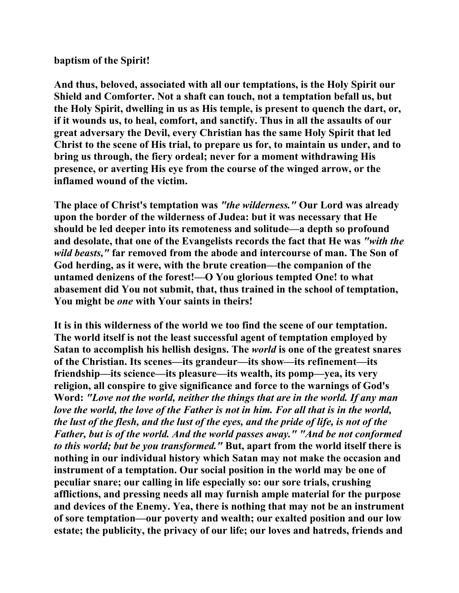## **baptism of the Spirit!**

**And thus, beloved, associated with all our temptations, is the Holy Spirit our Shield and Comforter. Not a shaft can touch, not a temptation befall us, but the Holy Spirit, dwelling in us as His temple, is present to quench the dart, or, if it wounds us, to heal, comfort, and sanctify. Thus in all the assaults of our great adversary the Devil, every Christian has the same Holy Spirit that led Christ to the scene of His trial, to prepare us for, to maintain us under, and to bring us through, the fiery ordeal; never for a moment withdrawing His presence, or averting His eye from the course of the winged arrow, or the inflamed wound of the victim.** 

**The place of Christ's temptation was** *"the wilderness."* **Our Lord was already upon the border of the wilderness of Judea: but it was necessary that He should be led deeper into its remoteness and solitude—a depth so profound and desolate, that one of the Evangelists records the fact that He was** *"with the wild beasts,"* **far removed from the abode and intercourse of man. The Son of God herding, as it were, with the brute creation—the companion of the untamed denizens of the forest!—O You glorious tempted One! to what abasement did You not submit, that, thus trained in the school of temptation, You might be** *one* **with Your saints in theirs!** 

**It is in this wilderness of the world we too find the scene of our temptation. The world itself is not the least successful agent of temptation employed by Satan to accomplish his hellish designs. The** *world* **is one of the greatest snares of the Christian. Its scenes—its grandeur—its show—its refinement—its friendship—its science—its pleasure—its wealth, its pomp—yea, its very religion, all conspire to give significance and force to the warnings of God's Word:** *"Love not the world, neither the things that are in the world. If any man love the world, the love of the Father is not in him. For all that is in the world, the lust of the flesh, and the lust of the eyes, and the pride of life, is not of the Father, but is of the world. And the world passes away." "And be not conformed to this world; but be you transformed."* **But, apart from the world itself there is nothing in our individual history which Satan may not make the occasion and instrument of a temptation. Our social position in the world may be one of peculiar snare; our calling in life especially so: our sore trials, crushing afflictions, and pressing needs all may furnish ample material for the purpose and devices of the Enemy. Yea, there is nothing that may not be an instrument of sore temptation—our poverty and wealth; our exalted position and our low estate; the publicity, the privacy of our life; our loves and hatreds, friends and**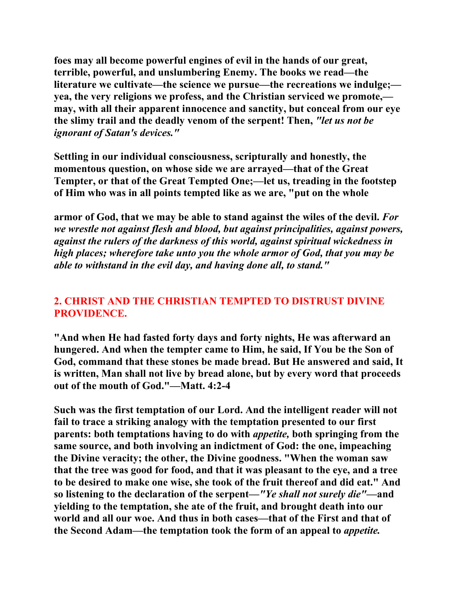**foes may all become powerful engines of evil in the hands of our great, terrible, powerful, and unslumbering Enemy. The books we read—the literature we cultivate—the science we pursue—the recreations we indulge; yea, the very religions we profess, and the Christian serviced we promote, may, with all their apparent innocence and sanctity, but conceal from our eye the slimy trail and the deadly venom of the serpent! Then,** *"let us not be ignorant of Satan's devices."* 

**Settling in our individual consciousness, scripturally and honestly, the momentous question, on whose side we are arrayed—that of the Great Tempter, or that of the Great Tempted One;—let us, treading in the footstep of Him who was in all points tempted like as we are, "put on the whole** 

**armor of God, that we may be able to stand against the wiles of the devil.** *For we wrestle not against flesh and blood, but against principalities, against powers, against the rulers of the darkness of this world, against spiritual wickedness in high places; wherefore take unto you the whole armor of God, that you may be able to withstand in the evil day, and having done all, to stand."* 

# **2. CHRIST AND THE CHRISTIAN TEMPTED TO DISTRUST DIVINE PROVIDENCE.**

**"And when He had fasted forty days and forty nights, He was afterward an hungered. And when the tempter came to Him, he said, If You be the Son of God, command that these stones be made bread. But He answered and said, It is written, Man shall not live by bread alone, but by every word that proceeds out of the mouth of God."—Matt. 4:2-4** 

**Such was the first temptation of our Lord. And the intelligent reader will not fail to trace a striking analogy with the temptation presented to our first parents: both temptations having to do with** *appetite,* **both springing from the same source, and both involving an indictment of God: the one, impeaching the Divine veracity; the other, the Divine goodness. "When the woman saw that the tree was good for food, and that it was pleasant to the eye, and a tree to be desired to make one wise, she took of the fruit thereof and did eat." And so listening to the declaration of the serpent—***"Ye shall not surely die"***—and yielding to the temptation, she ate of the fruit, and brought death into our world and all our woe. And thus in both cases—that of the First and that of the Second Adam—the temptation took the form of an appeal to** *appetite.*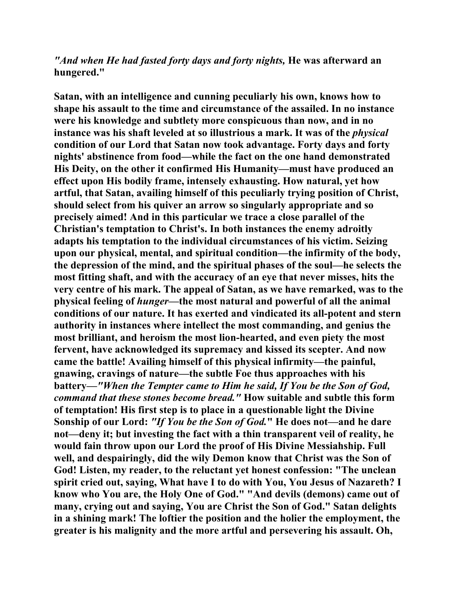## *"And when He had fasted forty days and forty nights,* **He was afterward an hungered."**

**Satan, with an intelligence and cunning peculiarly his own, knows how to shape his assault to the time and circumstance of the assailed. In no instance were his knowledge and subtlety more conspicuous than now, and in no instance was his shaft leveled at so illustrious a mark. It was of the** *physical* **condition of our Lord that Satan now took advantage. Forty days and forty nights' abstinence from food—while the fact on the one hand demonstrated His Deity, on the other it confirmed His Humanity—must have produced an effect upon His bodily frame, intensely exhausting. How natural, yet how artful, that Satan, availing himself of this peculiarly trying position of Christ, should select from his quiver an arrow so singularly appropriate and so precisely aimed! And in this particular we trace a close parallel of the Christian's temptation to Christ's. In both instances the enemy adroitly adapts his temptation to the individual circumstances of his victim. Seizing upon our physical, mental, and spiritual condition—the infirmity of the body, the depression of the mind, and the spiritual phases of the soul—he selects the most fitting shaft, and with the accuracy of an eye that never misses, hits the very centre of his mark. The appeal of Satan, as we have remarked, was to the physical feeling of** *hunger—***the most natural and powerful of all the animal conditions of our nature. It has exerted and vindicated its all-potent and stern authority in instances where intellect the most commanding, and genius the most brilliant, and heroism the most lion-hearted, and even piety the most fervent, have acknowledged its supremacy and kissed its scepter. And now came the battle! Availing himself of this physical infirmity—the painful, gnawing, cravings of nature—the subtle Foe thus approaches with his battery—***"When the Tempter came to Him he said, If You be the Son of God, command that these stones become bread."* **How suitable and subtle this form of temptation! His first step is to place in a questionable light the Divine Sonship of our Lord:** *"If You be the Son of God.***" He does not—and he dare not—deny it; but investing the fact with a thin transparent veil of reality, he would fain throw upon our Lord the proof of His Divine Messiahship. Full well, and despairingly, did the wily Demon know that Christ was the Son of God! Listen, my reader, to the reluctant yet honest confession: "The unclean spirit cried out, saying, What have I to do with You, You Jesus of Nazareth? I know who You are, the Holy One of God." "And devils (demons) came out of many, crying out and saying, You are Christ the Son of God." Satan delights in a shining mark! The loftier the position and the holier the employment, the greater is his malignity and the more artful and persevering his assault. Oh,**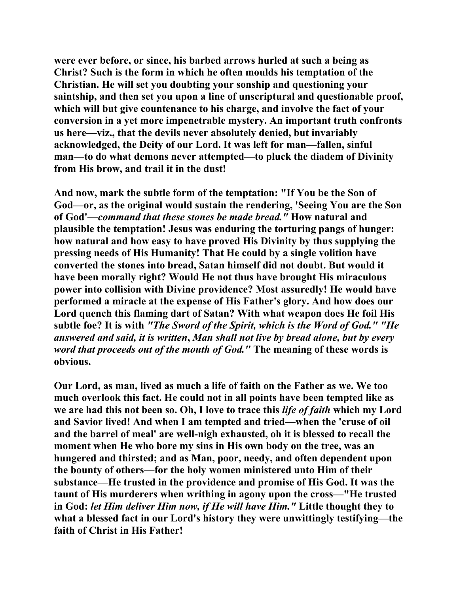**were ever before, or since, his barbed arrows hurled at such a being as Christ? Such is the form in which he often moulds his temptation of the Christian. He will set you doubting your sonship and questioning your saintship, and then set you upon a line of unscriptural and questionable proof, which will but give countenance to his charge, and involve the fact of your conversion in a yet more impenetrable mystery. An important truth confronts us here—viz., that the devils never absolutely denied, but invariably acknowledged, the Deity of our Lord. It was left for man—fallen, sinful man—to do what demons never attempted—to pluck the diadem of Divinity from His brow, and trail it in the dust!** 

**And now, mark the subtle form of the temptation: "If You be the Son of God—or, as the original would sustain the rendering, 'Seeing You are the Son of God'***—command that these stones be made bread."* **How natural and plausible the temptation! Jesus was enduring the torturing pangs of hunger: how natural and how easy to have proved His Divinity by thus supplying the pressing needs of His Humanity! That He could by a single volition have converted the stones into bread, Satan himself did not doubt. But would it have been morally right? Would He not thus have brought His miraculous power into collision with Divine providence? Most assuredly! He would have performed a miracle at the expense of His Father's glory. And how does our Lord quench this flaming dart of Satan? With what weapon does He foil His subtle foe? It is with** *"The Sword of the Spirit, which is the Word of God." "He answered and said, it is written***,** *Man shall not live by bread alone, but by every word that proceeds out of the mouth of God."* **The meaning of these words is obvious.** 

**Our Lord, as man, lived as much a life of faith on the Father as we. We too much overlook this fact. He could not in all points have been tempted like as we are had this not been so. Oh, I love to trace this** *life of faith* **which my Lord and Savior lived! And when I am tempted and tried—when the 'cruse of oil and the barrel of meal' are well-nigh exhausted, oh it is blessed to recall the moment when He who bore my sins in His own body on the tree, was an hungered and thirsted; and as Man, poor, needy, and often dependent upon the bounty of others—for the holy women ministered unto Him of their substance—He trusted in the providence and promise of His God. It was the taunt of His murderers when writhing in agony upon the cross—"He trusted in God:** *let Him deliver Him now, if He will have Him."* **Little thought they to what a blessed fact in our Lord's history they were unwittingly testifying—the faith of Christ in His Father!**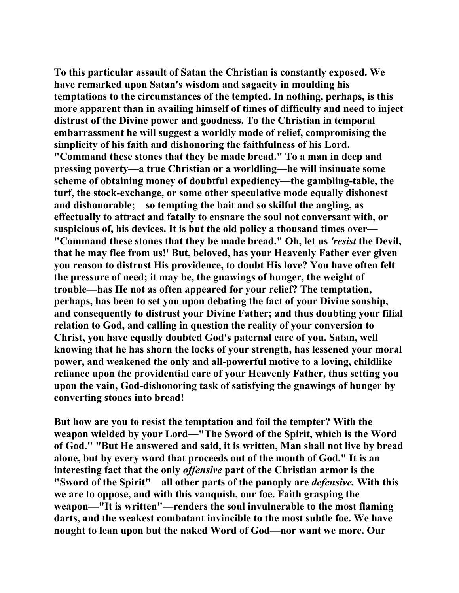**To this particular assault of Satan the Christian is constantly exposed. We have remarked upon Satan's wisdom and sagacity in moulding his temptations to the circumstances of the tempted. In nothing, perhaps, is this more apparent than in availing himself of times of difficulty and need to inject distrust of the Divine power and goodness. To the Christian in temporal embarrassment he will suggest a worldly mode of relief, compromising the simplicity of his faith and dishonoring the faithfulness of his Lord. "Command these stones that they be made bread." To a man in deep and pressing poverty—a true Christian or a worldling—he will insinuate some scheme of obtaining money of doubtful expediency—the gambling-table, the turf, the stock-exchange, or some other speculative mode equally dishonest and dishonorable;—so tempting the bait and so skilful the angling, as effectually to attract and fatally to ensnare the soul not conversant with, or suspicious of, his devices. It is but the old policy a thousand times over— "Command these stones that they be made bread." Oh, let us** *'resist* **the Devil, that he may flee from us!' But, beloved, has your Heavenly Father ever given you reason to distrust His providence, to doubt His love? You have often felt the pressure of need; it may be, the gnawings of hunger, the weight of trouble—has He not as often appeared for your relief? The temptation, perhaps, has been to set you upon debating the fact of your Divine sonship, and consequently to distrust your Divine Father; and thus doubting your filial relation to God, and calling in question the reality of your conversion to Christ, you have equally doubted God's paternal care of you. Satan, well knowing that he has shorn the locks of your strength, has lessened your moral power, and weakened the only and all-powerful motive to a loving, childlike reliance upon the providential care of your Heavenly Father, thus setting you upon the vain, God-dishonoring task of satisfying the gnawings of hunger by converting stones into bread!** 

**But how are you to resist the temptation and foil the tempter? With the weapon wielded by your Lord—"The Sword of the Spirit, which is the Word of God." "But He answered and said, it is written, Man shall not live by bread alone, but by every word that proceeds out of the mouth of God." It is an interesting fact that the only** *offensive* **part of the Christian armor is the "Sword of the Spirit"—all other parts of the panoply are** *defensive.* **With this we are to oppose, and with this vanquish, our foe. Faith grasping the weapon—"It is written"—renders the soul invulnerable to the most flaming darts, and the weakest combatant invincible to the most subtle foe. We have nought to lean upon but the naked Word of God—nor want we more. Our**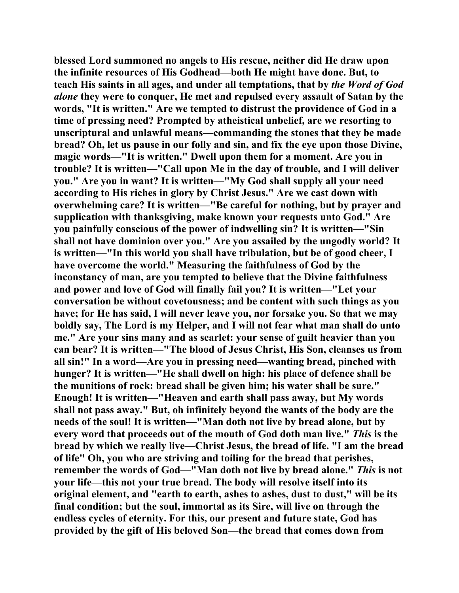**blessed Lord summoned no angels to His rescue, neither did He draw upon the infinite resources of His Godhead—both He might have done. But, to teach His saints in all ages, and under all temptations, that by** *the Word of God alone* **they were to conquer, He met and repulsed every assault of Satan by the words, "It is written." Are we tempted to distrust the providence of God in a time of pressing need? Prompted by atheistical unbelief, are we resorting to unscriptural and unlawful means—commanding the stones that they be made bread? Oh, let us pause in our folly and sin, and fix the eye upon those Divine, magic words—"It is written." Dwell upon them for a moment. Are you in trouble? It is written—"Call upon Me in the day of trouble, and I will deliver you." Are you in want? It is written—"My God shall supply all your need according to His riches in glory by Christ Jesus." Are we cast down with overwhelming care? It is written—"Be careful for nothing, but by prayer and supplication with thanksgiving, make known your requests unto God." Are you painfully conscious of the power of indwelling sin? It is written—"Sin shall not have dominion over you." Are you assailed by the ungodly world? It is written—"In this world you shall have tribulation, but be of good cheer, I have overcome the world." Measuring the faithfulness of God by the inconstancy of man, are you tempted to believe that the Divine faithfulness and power and love of God will finally fail you? It is written—"Let your conversation be without covetousness; and be content with such things as you have; for He has said, I will never leave you, nor forsake you. So that we may boldly say, The Lord is my Helper, and I will not fear what man shall do unto me." Are your sins many and as scarlet: your sense of guilt heavier than you can bear? It is written—"The blood of Jesus Christ, His Son, cleanses us from all sin!" In a word—Are you in pressing need—wanting bread, pinched with hunger? It is written—"He shall dwell on high: his place of defence shall be the munitions of rock: bread shall be given him; his water shall be sure." Enough! It is written—"Heaven and earth shall pass away, but My words shall not pass away." But, oh infinitely beyond the wants of the body are the needs of the soul! It is written—"Man doth not live by bread alone, but by every word that proceeds out of the mouth of God doth man live."** *This* **is the bread by which we really live—Christ Jesus, the bread of life. "I am the bread of life" Oh, you who are striving and toiling for the bread that perishes, remember the words of God—"Man doth not live by bread alone."** *This* **is not your life—this not your true bread. The body will resolve itself into its original element, and "earth to earth, ashes to ashes, dust to dust," will be its final condition; but the soul, immortal as its Sire, will live on through the endless cycles of eternity. For this, our present and future state, God has provided by the gift of His beloved Son—the bread that comes down from**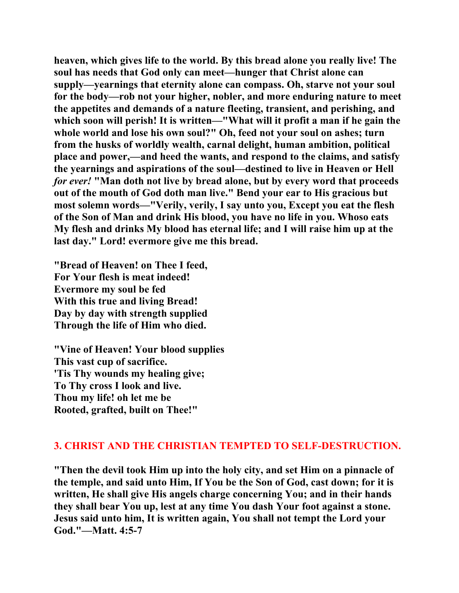**heaven, which gives life to the world. By this bread alone you really live! The soul has needs that God only can meet—hunger that Christ alone can supply—yearnings that eternity alone can compass. Oh, starve not your soul for the body—rob not your higher, nobler, and more enduring nature to meet the appetites and demands of a nature fleeting, transient, and perishing, and**  which soon will perish! It is written—"What will it profit a man if he gain the **whole world and lose his own soul?" Oh, feed not your soul on ashes; turn from the husks of worldly wealth, carnal delight, human ambition, political place and power,—and heed the wants, and respond to the claims, and satisfy the yearnings and aspirations of the soul—destined to live in Heaven or Hell**  *for ever!* **"Man doth not live by bread alone, but by every word that proceeds out of the mouth of God doth man live." Bend your ear to His gracious but most solemn words—"Verily, verily, I say unto you, Except you eat the flesh of the Son of Man and drink His blood, you have no life in you. Whoso eats My flesh and drinks My blood has eternal life; and I will raise him up at the last day." Lord! evermore give me this bread.** 

**"Bread of Heaven! on Thee I feed, For Your flesh is meat indeed! Evermore my soul be fed With this true and living Bread! Day by day with strength supplied Through the life of Him who died.** 

**"Vine of Heaven! Your blood supplies This vast cup of sacrifice. 'Tis Thy wounds my healing give; To Thy cross I look and live. Thou my life! oh let me be Rooted, grafted, built on Thee!"** 

#### **3. CHRIST AND THE CHRISTIAN TEMPTED TO SELF-DESTRUCTION.**

**"Then the devil took Him up into the holy city, and set Him on a pinnacle of the temple, and said unto Him, If You be the Son of God, cast down; for it is written, He shall give His angels charge concerning You; and in their hands they shall bear You up, lest at any time You dash Your foot against a stone. Jesus said unto him, It is written again, You shall not tempt the Lord your God."—Matt. 4:5-7**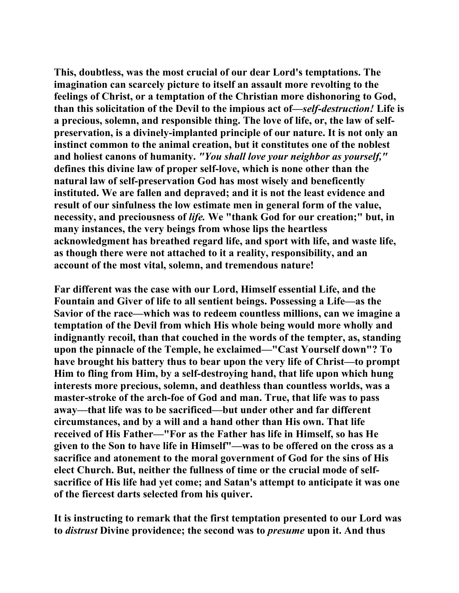**This, doubtless, was the most crucial of our dear Lord's temptations. The imagination can scarcely picture to itself an assault more revolting to the feelings of Christ, or a temptation of the Christian more dishonoring to God, than this solicitation of the Devil to the impious act of—***self-destruction!* **Life is a precious, solemn, and responsible thing. The love of life, or, the law of selfpreservation, is a divinely-implanted principle of our nature. It is not only an instinct common to the animal creation, but it constitutes one of the noblest and holiest canons of humanity.** *"You shall love your neighbor as yourself,"* **defines this divine law of proper self-love, which is none other than the natural law of self-preservation God has most wisely and beneficently instituted. We are fallen and depraved; and it is not the least evidence and result of our sinfulness the low estimate men in general form of the value, necessity, and preciousness of** *life.* **We "thank God for our creation;" but, in many instances, the very beings from whose lips the heartless acknowledgment has breathed regard life, and sport with life, and waste life, as though there were not attached to it a reality, responsibility, and an account of the most vital, solemn, and tremendous nature!** 

**Far different was the case with our Lord, Himself essential Life, and the Fountain and Giver of life to all sentient beings. Possessing a Life—as the Savior of the race—which was to redeem countless millions, can we imagine a temptation of the Devil from which His whole being would more wholly and indignantly recoil, than that couched in the words of the tempter, as, standing upon the pinnacle of the Temple, he exclaimed—"Cast Yourself down"? To have brought his battery thus to bear upon the very life of Christ—to prompt Him to fling from Him, by a self-destroying hand, that life upon which hung interests more precious, solemn, and deathless than countless worlds, was a master-stroke of the arch-foe of God and man. True, that life was to pass away—that life was to be sacrificed—but under other and far different circumstances, and by a will and a hand other than His own. That life received of His Father—"For as the Father has life in Himself, so has He given to the Son to have life in Himself"—was to be offered on the cross as a sacrifice and atonement to the moral government of God for the sins of His elect Church. But, neither the fullness of time or the crucial mode of selfsacrifice of His life had yet come; and Satan's attempt to anticipate it was one of the fiercest darts selected from his quiver.** 

**It is instructing to remark that the first temptation presented to our Lord was to** *distrust* **Divine providence; the second was to** *presume* **upon it. And thus**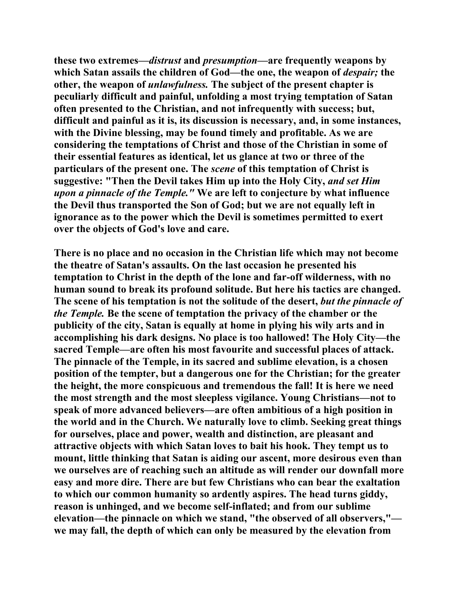**these two extremes—***distrust* **and** *presumption***—are frequently weapons by**  which Satan assails the children of God—the one, the weapon of *despair*; the **other, the weapon of** *unlawfulness.* **The subject of the present chapter is peculiarly difficult and painful, unfolding a most trying temptation of Satan often presented to the Christian, and not infrequently with success; but, difficult and painful as it is, its discussion is necessary, and, in some instances, with the Divine blessing, may be found timely and profitable. As we are considering the temptations of Christ and those of the Christian in some of their essential features as identical, let us glance at two or three of the particulars of the present one. The** *scene* **of this temptation of Christ is suggestive: "Then the Devil takes Him up into the Holy City,** *and set Him upon a pinnacle of the Temple."* **We are left to conjecture by what influence the Devil thus transported the Son of God; but we are not equally left in ignorance as to the power which the Devil is sometimes permitted to exert over the objects of God's love and care.** 

**There is no place and no occasion in the Christian life which may not become the theatre of Satan's assaults. On the last occasion he presented his temptation to Christ in the depth of the lone and far-off wilderness, with no human sound to break its profound solitude. But here his tactics are changed. The scene of his temptation is not the solitude of the desert,** *but the pinnacle of the Temple.* **Be the scene of temptation the privacy of the chamber or the publicity of the city, Satan is equally at home in plying his wily arts and in accomplishing his dark designs. No place is too hallowed! The Holy City—the sacred Temple—are often his most favourite and successful places of attack. The pinnacle of the Temple, in its sacred and sublime elevation, is a chosen position of the tempter, but a dangerous one for the Christian; for the greater the height, the more conspicuous and tremendous the fall! It is here we need the most strength and the most sleepless vigilance. Young Christians—not to speak of more advanced believers—are often ambitious of a high position in the world and in the Church. We naturally love to climb. Seeking great things for ourselves, place and power, wealth and distinction, are pleasant and attractive objects with which Satan loves to bait his hook. They tempt us to mount, little thinking that Satan is aiding our ascent, more desirous even than we ourselves are of reaching such an altitude as will render our downfall more easy and more dire. There are but few Christians who can bear the exaltation to which our common humanity so ardently aspires. The head turns giddy, reason is unhinged, and we become self-inflated; and from our sublime elevation—the pinnacle on which we stand, "the observed of all observers," we may fall, the depth of which can only be measured by the elevation from**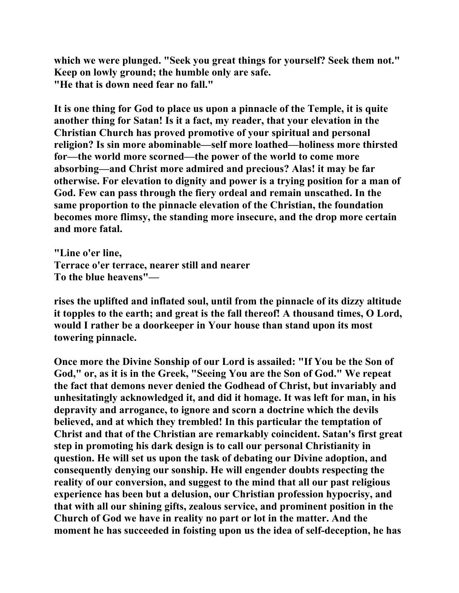**which we were plunged. "Seek you great things for yourself? Seek them not." Keep on lowly ground; the humble only are safe. "He that is down need fear no fall."** 

**It is one thing for God to place us upon a pinnacle of the Temple, it is quite another thing for Satan! Is it a fact, my reader, that your elevation in the Christian Church has proved promotive of your spiritual and personal religion? Is sin more abominable—self more loathed—holiness more thirsted for—the world more scorned—the power of the world to come more absorbing—and Christ more admired and precious? Alas! it may be far otherwise. For elevation to dignity and power is a trying position for a man of God. Few can pass through the fiery ordeal and remain unscathed. In the same proportion to the pinnacle elevation of the Christian, the foundation becomes more flimsy, the standing more insecure, and the drop more certain and more fatal.** 

**"Line o'er line, Terrace o'er terrace, nearer still and nearer To the blue heavens"—** 

**rises the uplifted and inflated soul, until from the pinnacle of its dizzy altitude it topples to the earth; and great is the fall thereof! A thousand times, O Lord, would I rather be a doorkeeper in Your house than stand upon its most towering pinnacle.** 

**Once more the Divine Sonship of our Lord is assailed: "If You be the Son of God," or, as it is in the Greek, "Seeing You are the Son of God." We repeat the fact that demons never denied the Godhead of Christ, but invariably and unhesitatingly acknowledged it, and did it homage. It was left for man, in his depravity and arrogance, to ignore and scorn a doctrine which the devils believed, and at which they trembled! In this particular the temptation of Christ and that of the Christian are remarkably coincident. Satan's first great step in promoting his dark design is to call our personal Christianity in question. He will set us upon the task of debating our Divine adoption, and consequently denying our sonship. He will engender doubts respecting the reality of our conversion, and suggest to the mind that all our past religious experience has been but a delusion, our Christian profession hypocrisy, and that with all our shining gifts, zealous service, and prominent position in the Church of God we have in reality no part or lot in the matter. And the moment he has succeeded in foisting upon us the idea of self-deception, he has**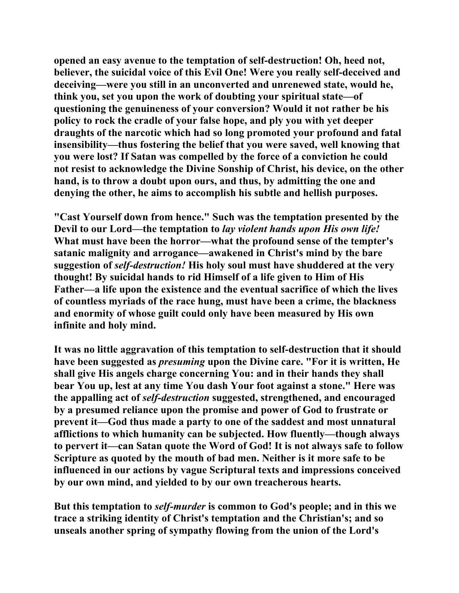**opened an easy avenue to the temptation of self-destruction! Oh, heed not, believer, the suicidal voice of this Evil One! Were you really self-deceived and deceiving—were you still in an unconverted and unrenewed state, would he, think you, set you upon the work of doubting your spiritual state—of questioning the genuineness of your conversion? Would it not rather be his policy to rock the cradle of your false hope, and ply you with yet deeper draughts of the narcotic which had so long promoted your profound and fatal insensibility—thus fostering the belief that you were saved, well knowing that you were lost? If Satan was compelled by the force of a conviction he could not resist to acknowledge the Divine Sonship of Christ, his device, on the other hand, is to throw a doubt upon ours, and thus, by admitting the one and denying the other, he aims to accomplish his subtle and hellish purposes.** 

**"Cast Yourself down from hence." Such was the temptation presented by the Devil to our Lord—the temptation to** *lay violent hands upon His own life!*  **What must have been the horror—what the profound sense of the tempter's satanic malignity and arrogance—awakened in Christ's mind by the bare suggestion of** *self-destruction!* **His holy soul must have shuddered at the very thought! By suicidal hands to rid Himself of a life given to Him of His Father—a life upon the existence and the eventual sacrifice of which the lives of countless myriads of the race hung, must have been a crime, the blackness and enormity of whose guilt could only have been measured by His own infinite and holy mind.** 

**It was no little aggravation of this temptation to self-destruction that it should have been suggested as** *presuming* **upon the Divine care. "For it is written, He shall give His angels charge concerning You: and in their hands they shall bear You up, lest at any time You dash Your foot against a stone." Here was the appalling act of** *self-destruction* **suggested, strengthened, and encouraged by a presumed reliance upon the promise and power of God to frustrate or prevent it—God thus made a party to one of the saddest and most unnatural afflictions to which humanity can be subjected. How fluently—though always to pervert it—can Satan quote the Word of God! It is not always safe to follow Scripture as quoted by the mouth of bad men. Neither is it more safe to be influenced in our actions by vague Scriptural texts and impressions conceived by our own mind, and yielded to by our own treacherous hearts.** 

**But this temptation to** *self-murder* **is common to God's people; and in this we trace a striking identity of Christ's temptation and the Christian's; and so unseals another spring of sympathy flowing from the union of the Lord's**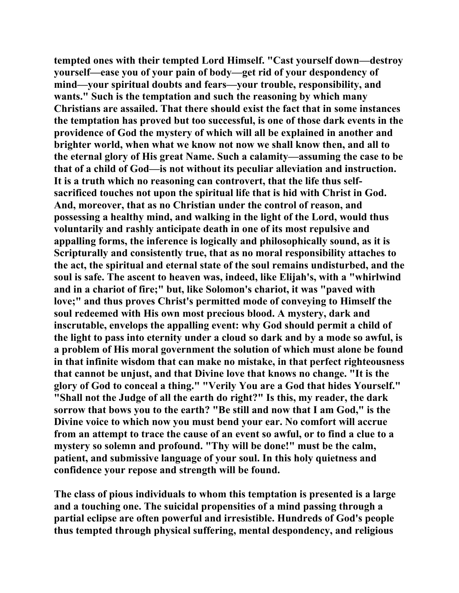**tempted ones with their tempted Lord Himself. "Cast yourself down—destroy yourself—ease you of your pain of body—get rid of your despondency of mind—your spiritual doubts and fears—your trouble, responsibility, and wants." Such is the temptation and such the reasoning by which many Christians are assailed. That there should exist the fact that in some instances the temptation has proved but too successful, is one of those dark events in the providence of God the mystery of which will all be explained in another and brighter world, when what we know not now we shall know then, and all to the eternal glory of His great Name. Such a calamity—assuming the case to be that of a child of God—is not without its peculiar alleviation and instruction. It is a truth which no reasoning can controvert, that the life thus selfsacrificed touches not upon the spiritual life that is hid with Christ in God. And, moreover, that as no Christian under the control of reason, and possessing a healthy mind, and walking in the light of the Lord, would thus voluntarily and rashly anticipate death in one of its most repulsive and appalling forms, the inference is logically and philosophically sound, as it is Scripturally and consistently true, that as no moral responsibility attaches to the act, the spiritual and eternal state of the soul remains undisturbed, and the soul is safe. The ascent to heaven was, indeed, like Elijah's, with a "whirlwind and in a chariot of fire;" but, like Solomon's chariot, it was "paved with love;" and thus proves Christ's permitted mode of conveying to Himself the soul redeemed with His own most precious blood. A mystery, dark and inscrutable, envelops the appalling event: why God should permit a child of the light to pass into eternity under a cloud so dark and by a mode so awful, is a problem of His moral government the solution of which must alone be found in that infinite wisdom that can make no mistake, in that perfect righteousness that cannot be unjust, and that Divine love that knows no change. "It is the glory of God to conceal a thing." "Verily You are a God that hides Yourself." "Shall not the Judge of all the earth do right?" Is this, my reader, the dark sorrow that bows you to the earth? "Be still and now that I am God," is the Divine voice to which now you must bend your ear. No comfort will accrue from an attempt to trace the cause of an event so awful, or to find a clue to a mystery so solemn and profound. "Thy will be done!" must be the calm, patient, and submissive language of your soul. In this holy quietness and confidence your repose and strength will be found.** 

**The class of pious individuals to whom this temptation is presented is a large and a touching one. The suicidal propensities of a mind passing through a partial eclipse are often powerful and irresistible. Hundreds of God's people thus tempted through physical suffering, mental despondency, and religious**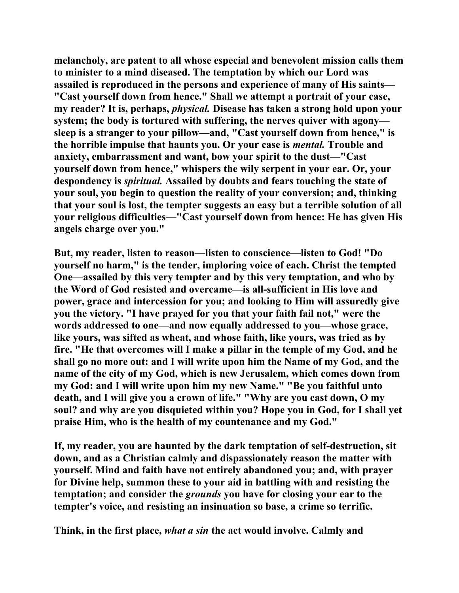**melancholy, are patent to all whose especial and benevolent mission calls them to minister to a mind diseased. The temptation by which our Lord was assailed is reproduced in the persons and experience of many of His saints— "Cast yourself down from hence." Shall we attempt a portrait of your case, my reader? It is, perhaps,** *physical.* **Disease has taken a strong hold upon your system; the body is tortured with suffering, the nerves quiver with agony sleep is a stranger to your pillow—and, "Cast yourself down from hence," is the horrible impulse that haunts you. Or your case is** *mental.* **Trouble and anxiety, embarrassment and want, bow your spirit to the dust—"Cast yourself down from hence," whispers the wily serpent in your ear. Or, your despondency is** *spiritual.* **Assailed by doubts and fears touching the state of your soul, you begin to question the reality of your conversion; and, thinking that your soul is lost, the tempter suggests an easy but a terrible solution of all your religious difficulties—"Cast yourself down from hence: He has given His angels charge over you."** 

**But, my reader, listen to reason—listen to conscience—listen to God! "Do yourself no harm," is the tender, imploring voice of each. Christ the tempted One—assailed by this very tempter and by this very temptation, and who by the Word of God resisted and overcame—is all-sufficient in His love and power, grace and intercession for you; and looking to Him will assuredly give you the victory. "I have prayed for you that your faith fail not," were the words addressed to one—and now equally addressed to you—whose grace, like yours, was sifted as wheat, and whose faith, like yours, was tried as by fire. "He that overcomes will I make a pillar in the temple of my God, and he shall go no more out: and I will write upon him the Name of my God, and the name of the city of my God, which is new Jerusalem, which comes down from my God: and I will write upon him my new Name." "Be you faithful unto death, and I will give you a crown of life." "Why are you cast down, O my soul? and why are you disquieted within you? Hope you in God, for I shall yet praise Him, who is the health of my countenance and my God."** 

**If, my reader, you are haunted by the dark temptation of self-destruction, sit down, and as a Christian calmly and dispassionately reason the matter with yourself. Mind and faith have not entirely abandoned you; and, with prayer for Divine help, summon these to your aid in battling with and resisting the temptation; and consider the** *grounds* **you have for closing your ear to the tempter's voice, and resisting an insinuation so base, a crime so terrific.** 

**Think, in the first place,** *what a sin* **the act would involve. Calmly and**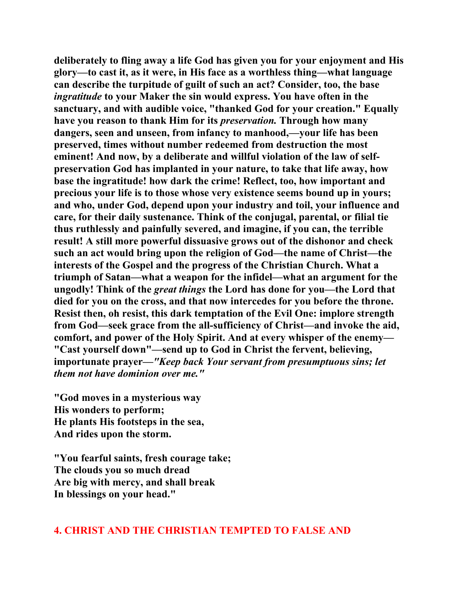**deliberately to fling away a life God has given you for your enjoyment and His glory—to cast it, as it were, in His face as a worthless thing—what language can describe the turpitude of guilt of such an act? Consider, too, the base**  *ingratitude* **to your Maker the sin would express. You have often in the sanctuary, and with audible voice, "thanked God for your creation." Equally have you reason to thank Him for its** *preservation.* **Through how many dangers, seen and unseen, from infancy to manhood,—your life has been preserved, times without number redeemed from destruction the most eminent! And now, by a deliberate and willful violation of the law of selfpreservation God has implanted in your nature, to take that life away, how base the ingratitude! how dark the crime! Reflect, too, how important and precious your life is to those whose very existence seems bound up in yours; and who, under God, depend upon your industry and toil, your influence and care, for their daily sustenance. Think of the conjugal, parental, or filial tie thus ruthlessly and painfully severed, and imagine, if you can, the terrible result! A still more powerful dissuasive grows out of the dishonor and check such an act would bring upon the religion of God—the name of Christ—the interests of the Gospel and the progress of the Christian Church. What a triumph of Satan—what a weapon for the infidel—what an argument for the ungodly! Think of the** *great things* **the Lord has done for you—the Lord that died for you on the cross, and that now intercedes for you before the throne. Resist then, oh resist, this dark temptation of the Evil One: implore strength from God—seek grace from the all-sufficiency of Christ—and invoke the aid, comfort, and power of the Holy Spirit. And at every whisper of the enemy— "Cast yourself down"—send up to God in Christ the fervent, believing, importunate prayer***—"Keep back Your servant from presumptuous sins; let them not have dominion over me."* 

**"God moves in a mysterious way His wonders to perform; He plants His footsteps in the sea, And rides upon the storm.** 

**"You fearful saints, fresh courage take; The clouds you so much dread Are big with mercy, and shall break In blessings on your head."** 

#### **4. CHRIST AND THE CHRISTIAN TEMPTED TO FALSE AND**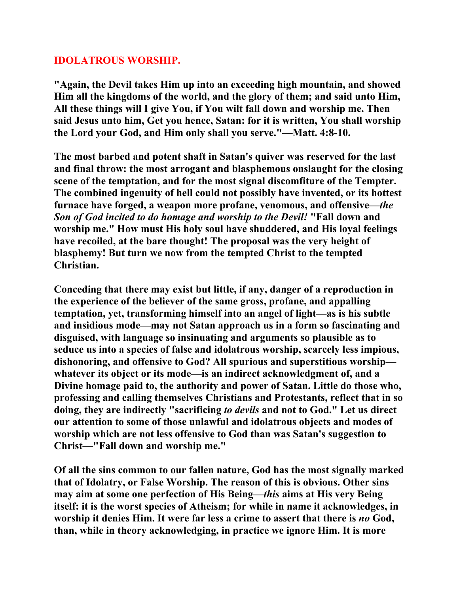## **IDOLATROUS WORSHIP.**

**"Again, the Devil takes Him up into an exceeding high mountain, and showed Him all the kingdoms of the world, and the glory of them; and said unto Him, All these things will I give You, if You wilt fall down and worship me. Then said Jesus unto him, Get you hence, Satan: for it is written, You shall worship the Lord your God, and Him only shall you serve."—Matt. 4:8-10.** 

**The most barbed and potent shaft in Satan's quiver was reserved for the last and final throw: the most arrogant and blasphemous onslaught for the closing scene of the temptation, and for the most signal discomfiture of the Tempter. The combined ingenuity of hell could not possibly have invented, or its hottest furnace have forged, a weapon more profane, venomous, and offensive—***the Son of God incited to do homage and worship to the Devil!* **"Fall down and worship me." How must His holy soul have shuddered, and His loyal feelings have recoiled, at the bare thought! The proposal was the very height of blasphemy! But turn we now from the tempted Christ to the tempted Christian.** 

**Conceding that there may exist but little, if any, danger of a reproduction in the experience of the believer of the same gross, profane, and appalling temptation, yet, transforming himself into an angel of light—as is his subtle and insidious mode—may not Satan approach us in a form so fascinating and disguised, with language so insinuating and arguments so plausible as to seduce us into a species of false and idolatrous worship, scarcely less impious, dishonoring, and offensive to God? All spurious and superstitious worship whatever its object or its mode—is an indirect acknowledgment of, and a Divine homage paid to, the authority and power of Satan. Little do those who, professing and calling themselves Christians and Protestants, reflect that in so doing, they are indirectly "sacrificing** *to devils* **and not to God." Let us direct our attention to some of those unlawful and idolatrous objects and modes of worship which are not less offensive to God than was Satan's suggestion to Christ—"Fall down and worship me."** 

**Of all the sins common to our fallen nature, God has the most signally marked that of Idolatry, or False Worship. The reason of this is obvious. Other sins may aim at some one perfection of His Being—***this* **aims at His very Being itself: it is the worst species of Atheism; for while in name it acknowledges, in worship it denies Him. It were far less a crime to assert that there is** *no* **God, than, while in theory acknowledging, in practice we ignore Him. It is more**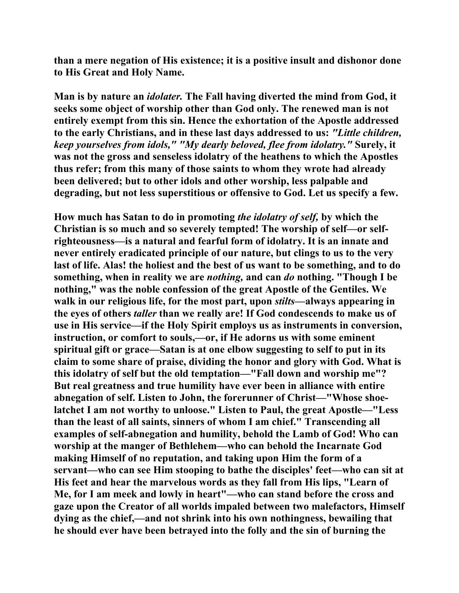**than a mere negation of His existence; it is a positive insult and dishonor done to His Great and Holy Name.** 

**Man is by nature an** *idolater.* **The Fall having diverted the mind from God, it seeks some object of worship other than God only. The renewed man is not entirely exempt from this sin. Hence the exhortation of the Apostle addressed to the early Christians, and in these last days addressed to us:** *"Little children, keep yourselves from idols," "My dearly beloved, flee from idolatry."* **Surely, it was not the gross and senseless idolatry of the heathens to which the Apostles thus refer; from this many of those saints to whom they wrote had already been delivered; but to other idols and other worship, less palpable and degrading, but not less superstitious or offensive to God. Let us specify a few.** 

**How much has Satan to do in promoting** *the idolatry of self,* **by which the Christian is so much and so severely tempted! The worship of self—or selfrighteousness—is a natural and fearful form of idolatry. It is an innate and never entirely eradicated principle of our nature, but clings to us to the very last of life. Alas! the holiest and the best of us want to be something, and to do something, when in reality we are** *nothing,* **and can** *do* **nothing. "Though I be nothing," was the noble confession of the great Apostle of the Gentiles. We walk in our religious life, for the most part, upon** *stilts***—always appearing in the eyes of others** *taller* **than we really are! If God condescends to make us of use in His service—if the Holy Spirit employs us as instruments in conversion, instruction, or comfort to souls,—or, if He adorns us with some eminent spiritual gift or grace—Satan is at one elbow suggesting to self to put in its claim to some share of praise, dividing the honor and glory with God. What is this idolatry of self but the old temptation—"Fall down and worship me"? But real greatness and true humility have ever been in alliance with entire abnegation of self. Listen to John, the forerunner of Christ—"Whose shoelatchet I am not worthy to unloose." Listen to Paul, the great Apostle—"Less than the least of all saints, sinners of whom I am chief." Transcending all examples of self-abnegation and humility, behold the Lamb of God! Who can worship at the manger of Bethlehem—who can behold the Incarnate God making Himself of no reputation, and taking upon Him the form of a servant—who can see Him stooping to bathe the disciples' feet—who can sit at His feet and hear the marvelous words as they fall from His lips, "Learn of Me, for I am meek and lowly in heart"—who can stand before the cross and gaze upon the Creator of all worlds impaled between two malefactors, Himself dying as the chief,—and not shrink into his own nothingness, bewailing that he should ever have been betrayed into the folly and the sin of burning the**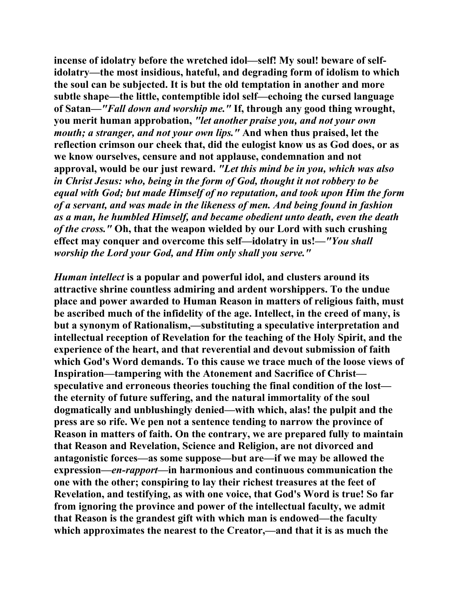**incense of idolatry before the wretched idol—self! My soul! beware of selfidolatry—the most insidious, hateful, and degrading form of idolism to which the soul can be subjected. It is but the old temptation in another and more subtle shape—the little, contemptible idol self—echoing the cursed language of Satan—***"Fall down and worship me."* **If, through any good thing wrought, you merit human approbation,** *"let another praise you, and not your own mouth; a stranger, and not your own lips."* **And when thus praised, let the reflection crimson our cheek that, did the eulogist know us as God does, or as we know ourselves, censure and not applause, condemnation and not approval, would be our just reward.** *"Let this mind be in you, which was also in Christ Jesus: who, being in the form of God, thought it not robbery to be equal with God; but made Himself of no reputation, and took upon Him the form of a servant, and was made in the likeness of men. And being found in fashion as a man, he humbled Himself, and became obedient unto death, even the death of the cross."* **Oh, that the weapon wielded by our Lord with such crushing effect may conquer and overcome this self—idolatry in us!***—"You shall worship the Lord your God, and Him only shall you serve."* 

*Human intellect* **is a popular and powerful idol, and clusters around its attractive shrine countless admiring and ardent worshippers. To the undue place and power awarded to Human Reason in matters of religious faith, must be ascribed much of the infidelity of the age. Intellect, in the creed of many, is but a synonym of Rationalism,—substituting a speculative interpretation and intellectual reception of Revelation for the teaching of the Holy Spirit, and the experience of the heart, and that reverential and devout submission of faith which God's Word demands. To this cause we trace much of the loose views of Inspiration—tampering with the Atonement and Sacrifice of Christ speculative and erroneous theories touching the final condition of the lost the eternity of future suffering, and the natural immortality of the soul dogmatically and unblushingly denied—with which, alas! the pulpit and the press are so rife. We pen not a sentence tending to narrow the province of Reason in matters of faith. On the contrary, we are prepared fully to maintain that Reason and Revelation, Science and Religion, are not divorced and antagonistic forces—as some suppose—but are—if we may be allowed the expression—***en-rapport—***in harmonious and continuous communication the one with the other; conspiring to lay their richest treasures at the feet of Revelation, and testifying, as with one voice, that God's Word is true! So far from ignoring the province and power of the intellectual faculty, we admit that Reason is the grandest gift with which man is endowed—the faculty which approximates the nearest to the Creator,—and that it is as much the**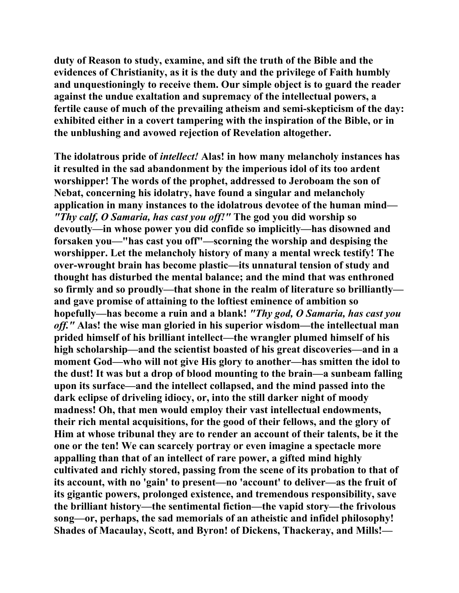**duty of Reason to study, examine, and sift the truth of the Bible and the evidences of Christianity, as it is the duty and the privilege of Faith humbly and unquestioningly to receive them. Our simple object is to guard the reader against the undue exaltation and supremacy of the intellectual powers, a fertile cause of much of the prevailing atheism and semi-skepticism of the day: exhibited either in a covert tampering with the inspiration of the Bible, or in the unblushing and avowed rejection of Revelation altogether.** 

**The idolatrous pride of** *intellect!* **Alas! in how many melancholy instances has it resulted in the sad abandonment by the imperious idol of its too ardent worshipper! The words of the prophet, addressed to Jeroboam the son of Nebat, concerning his idolatry, have found a singular and melancholy application in many instances to the idolatrous devotee of the human mind***— "Thy calf, O Samaria, has cast you off!"* **The god you did worship so devoutly—in whose power you did confide so implicitly—has disowned and forsaken you—"has cast you off"—scorning the worship and despising the worshipper. Let the melancholy history of many a mental wreck testify! The over-wrought brain has become plastic—its unnatural tension of study and thought has disturbed the mental balance; and the mind that was enthroned so firmly and so proudly—that shone in the realm of literature so brilliantly and gave promise of attaining to the loftiest eminence of ambition so hopefully—has become a ruin and a blank!** *"Thy god, O Samaria, has cast you off."* **Alas! the wise man gloried in his superior wisdom—the intellectual man prided himself of his brilliant intellect—the wrangler plumed himself of his high scholarship—and the scientist boasted of his great discoveries—and in a moment God—who will not give His glory to another—has smitten the idol to the dust! It was but a drop of blood mounting to the brain—a sunbeam falling upon its surface—and the intellect collapsed, and the mind passed into the dark eclipse of driveling idiocy, or, into the still darker night of moody madness! Oh, that men would employ their vast intellectual endowments, their rich mental acquisitions, for the good of their fellows, and the glory of Him at whose tribunal they are to render an account of their talents, be it the one or the ten! We can scarcely portray or even imagine a spectacle more appalling than that of an intellect of rare power, a gifted mind highly cultivated and richly stored, passing from the scene of its probation to that of its account, with no 'gain' to present—no 'account' to deliver—as the fruit of its gigantic powers, prolonged existence, and tremendous responsibility, save the brilliant history—the sentimental fiction—the vapid story—the frivolous song—or, perhaps, the sad memorials of an atheistic and infidel philosophy! Shades of Macaulay, Scott, and Byron! of Dickens, Thackeray, and Mills!—**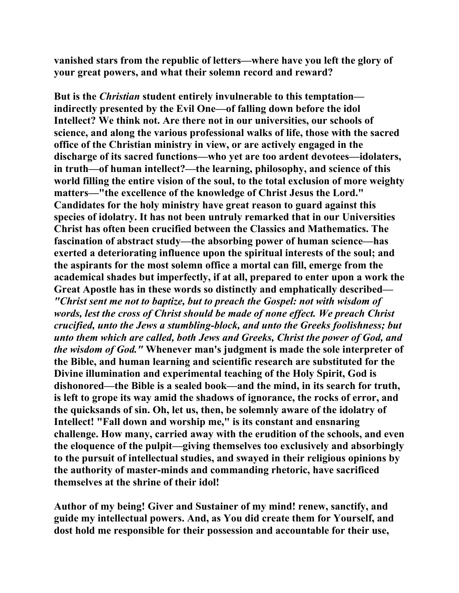**vanished stars from the republic of letters—where have you left the glory of your great powers, and what their solemn record and reward?** 

**But is the** *Christian* **student entirely invulnerable to this temptation indirectly presented by the Evil One—of falling down before the idol Intellect? We think not. Are there not in our universities, our schools of science, and along the various professional walks of life, those with the sacred office of the Christian ministry in view, or are actively engaged in the discharge of its sacred functions—who yet are too ardent devotees—idolaters, in truth—of human intellect?—the learning, philosophy, and science of this world filling the entire vision of the soul, to the total exclusion of more weighty matters—"the excellence of the knowledge of Christ Jesus the Lord." Candidates for the holy ministry have great reason to guard against this species of idolatry. It has not been untruly remarked that in our Universities Christ has often been crucified between the Classics and Mathematics. The fascination of abstract study—the absorbing power of human science—has exerted a deteriorating influence upon the spiritual interests of the soul; and the aspirants for the most solemn office a mortal can fill, emerge from the academical shades but imperfectly, if at all, prepared to enter upon a work the Great Apostle has in these words so distinctly and emphatically described—** *"Christ sent me not to baptize, but to preach the Gospel: not with wisdom of words, lest the cross of Christ should be made of none effect. We preach Christ crucified, unto the Jews a stumbling-block, and unto the Greeks foolishness; but unto them which are called, both Jews and Greeks, Christ the power of God, and the wisdom of God."* **Whenever man's judgment is made the sole interpreter of the Bible, and human learning and scientific research are substituted for the Divine illumination and experimental teaching of the Holy Spirit, God is dishonored—the Bible is a sealed book—and the mind, in its search for truth, is left to grope its way amid the shadows of ignorance, the rocks of error, and the quicksands of sin. Oh, let us, then, be solemnly aware of the idolatry of Intellect! "Fall down and worship me," is its constant and ensnaring challenge. How many, carried away with the erudition of the schools, and even the eloquence of the pulpit—giving themselves too exclusively and absorbingly to the pursuit of intellectual studies, and swayed in their religious opinions by the authority of master-minds and commanding rhetoric, have sacrificed themselves at the shrine of their idol!** 

**Author of my being! Giver and Sustainer of my mind! renew, sanctify, and guide my intellectual powers. And, as You did create them for Yourself, and dost hold me responsible for their possession and accountable for their use,**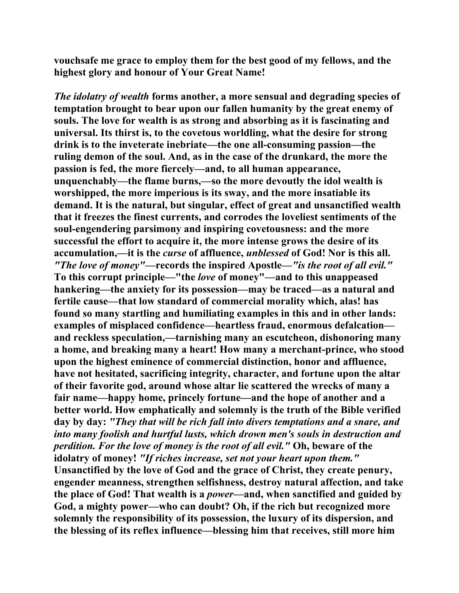**vouchsafe me grace to employ them for the best good of my fellows, and the highest glory and honour of Your Great Name!** 

*The idolatry of wealth* **forms another, a more sensual and degrading species of temptation brought to bear upon our fallen humanity by the great enemy of souls. The love for wealth is as strong and absorbing as it is fascinating and universal. Its thirst is, to the covetous worldling, what the desire for strong drink is to the inveterate inebriate—the one all-consuming passion—the ruling demon of the soul. And, as in the case of the drunkard, the more the passion is fed, the more fiercely—and, to all human appearance, unquenchably—the flame burns,—so the more devoutly the idol wealth is worshipped, the more imperious is its sway, and the more insatiable its demand. It is the natural, but singular, effect of great and unsanctified wealth that it freezes the finest currents, and corrodes the loveliest sentiments of the soul-engendering parsimony and inspiring covetousness: and the more successful the effort to acquire it, the more intense grows the desire of its accumulation,—it is the** *curse* **of affluence,** *unblessed* **of God! Nor is this all.**  *"The love of money"***—records the inspired Apostle—***"is the root of all evil."*  **To this corrupt principle—"the** *love* **of money"—and to this unappeased hankering—the anxiety for its possession—may be traced—as a natural and fertile cause—that low standard of commercial morality which, alas! has found so many startling and humiliating examples in this and in other lands: examples of misplaced confidence—heartless fraud, enormous defalcation and reckless speculation,—tarnishing many an escutcheon, dishonoring many a home, and breaking many a heart! How many a merchant-prince, who stood upon the highest eminence of commercial distinction, honor and affluence, have not hesitated, sacrificing integrity, character, and fortune upon the altar of their favorite god, around whose altar lie scattered the wrecks of many a fair name—happy home, princely fortune—and the hope of another and a better world. How emphatically and solemnly is the truth of the Bible verified day by day:** *"They that will be rich fall into divers temptations and a snare, and into many foolish and hurtful lusts, which drown men's souls in destruction and perdition. For the love of money is the root of all evil."* **Oh, beware of the idolatry of money!** *"If riches increase, set not your heart upon them."*  **Unsanctified by the love of God and the grace of Christ, they create penury, engender meanness, strengthen selfishness, destroy natural affection, and take the place of God! That wealth is a** *power—***and, when sanctified and guided by God, a mighty power—who can doubt? Oh, if the rich but recognized more solemnly the responsibility of its possession, the luxury of its dispersion, and the blessing of its reflex influence—blessing him that receives, still more him**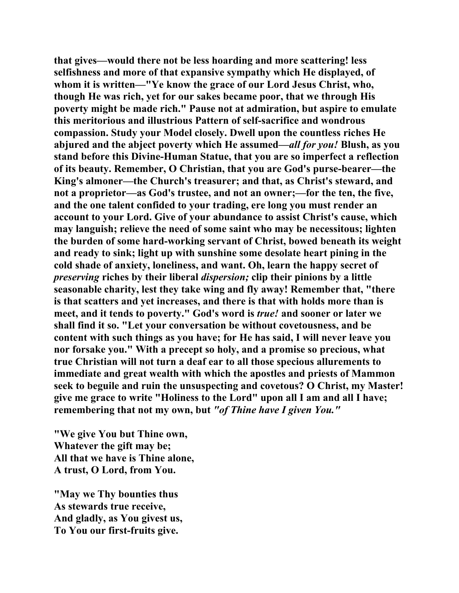**that gives—would there not be less hoarding and more scattering! less selfishness and more of that expansive sympathy which He displayed, of whom it is written—"Ye know the grace of our Lord Jesus Christ, who, though He was rich, yet for our sakes became poor, that we through His poverty might be made rich." Pause not at admiration, but aspire to emulate this meritorious and illustrious Pattern of self-sacrifice and wondrous compassion. Study your Model closely. Dwell upon the countless riches He abjured and the abject poverty which He assumed***—all for you!* **Blush, as you stand before this Divine-Human Statue, that you are so imperfect a reflection of its beauty. Remember, O Christian, that you are God's purse-bearer—the King's almoner—the Church's treasurer; and that, as Christ's steward, and not a proprietor—as God's trustee, and not an owner;—for the ten, the five, and the one talent confided to your trading, ere long you must render an account to your Lord. Give of your abundance to assist Christ's cause, which may languish; relieve the need of some saint who may be necessitous; lighten the burden of some hard-working servant of Christ, bowed beneath its weight and ready to sink; light up with sunshine some desolate heart pining in the cold shade of anxiety, loneliness, and want. Oh, learn the happy secret of**  *preserving* **riches by their liberal** *dispersion;* **clip their pinions by a little seasonable charity, lest they take wing and fly away! Remember that, "there is that scatters and yet increases, and there is that with holds more than is meet, and it tends to poverty." God's word is** *true!* **and sooner or later we shall find it so. "Let your conversation be without covetousness, and be content with such things as you have; for He has said, I will never leave you nor forsake you." With a precept so holy, and a promise so precious, what true Christian will not turn a deaf ear to all those specious allurements to immediate and great wealth with which the apostles and priests of Mammon seek to beguile and ruin the unsuspecting and covetous? O Christ, my Master! give me grace to write "Holiness to the Lord" upon all I am and all I have; remembering that not my own, but** *"of Thine have I given You."* 

**"We give You but Thine own, Whatever the gift may be; All that we have is Thine alone, A trust, O Lord, from You.** 

**"May we Thy bounties thus As stewards true receive, And gladly, as You givest us, To You our first-fruits give.**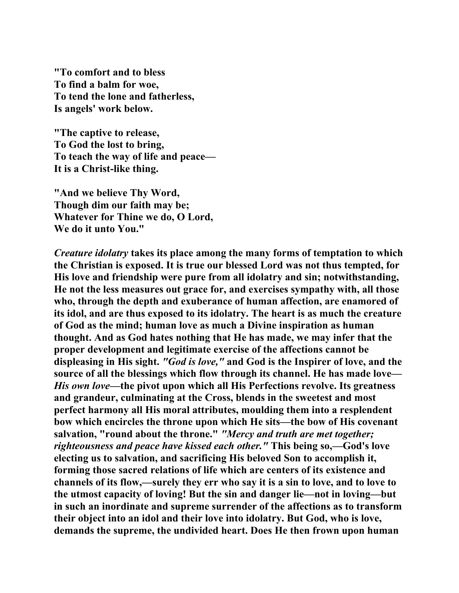**"To comfort and to bless To find a balm for woe, To tend the lone and fatherless, Is angels' work below.** 

**"The captive to release, To God the lost to bring, To teach the way of life and peace— It is a Christ-like thing.** 

**"And we believe Thy Word, Though dim our faith may be; Whatever for Thine we do, O Lord, We do it unto You."** 

*Creature idolatry* **takes its place among the many forms of temptation to which the Christian is exposed. It is true our blessed Lord was not thus tempted, for His love and friendship were pure from all idolatry and sin; notwithstanding, He not the less measures out grace for, and exercises sympathy with, all those who, through the depth and exuberance of human affection, are enamored of its idol, and are thus exposed to its idolatry. The heart is as much the creature of God as the mind; human love as much a Divine inspiration as human thought. And as God hates nothing that He has made, we may infer that the proper development and legitimate exercise of the affections cannot be displeasing in His sight.** *"God is love,"* **and God is the Inspirer of love, and the source of all the blessings which flow through its channel. He has made love—** *His own love—***the pivot upon which all His Perfections revolve. Its greatness and grandeur, culminating at the Cross, blends in the sweetest and most perfect harmony all His moral attributes, moulding them into a resplendent bow which encircles the throne upon which He sits—the bow of His covenant salvation, "round about the throne."** *"Mercy and truth are met together; righteousness and peace have kissed each other."* **This being so,—God's love electing us to salvation, and sacrificing His beloved Son to accomplish it, forming those sacred relations of life which are centers of its existence and channels of its flow,—surely they err who say it is a sin to love, and to love to the utmost capacity of loving! But the sin and danger lie—not in loving—but in such an inordinate and supreme surrender of the affections as to transform their object into an idol and their love into idolatry. But God, who is love, demands the supreme, the undivided heart. Does He then frown upon human**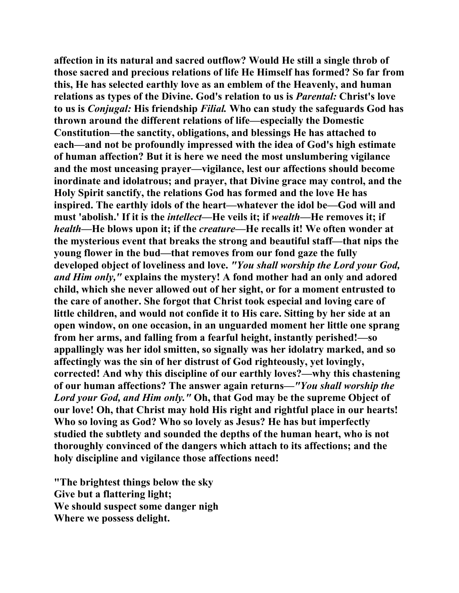**affection in its natural and sacred outflow? Would He still a single throb of those sacred and precious relations of life He Himself has formed? So far from this, He has selected earthly love as an emblem of the Heavenly, and human relations as types of the Divine. God's relation to us is** *Parental:* **Christ's love to us is** *Conjugal:* **His friendship** *Filial.* **Who can study the safeguards God has thrown around the different relations of life—especially the Domestic Constitution—the sanctity, obligations, and blessings He has attached to each—and not be profoundly impressed with the idea of God's high estimate of human affection? But it is here we need the most unslumbering vigilance and the most unceasing prayer—vigilance, lest our affections should become inordinate and idolatrous; and prayer, that Divine grace may control, and the Holy Spirit sanctify, the relations God has formed and the love He has inspired. The earthly idols of the heart—whatever the idol be—God will and must 'abolish.' If it is the** *intellect***—He veils it; if** *wealth***—He removes it; if**  *health***—He blows upon it; if the** *creature—***He recalls it! We often wonder at the mysterious event that breaks the strong and beautiful staff—that nips the young flower in the bud—that removes from our fond gaze the fully developed object of loveliness and love.** *"You shall worship the Lord your God, and Him only,"* **explains the mystery! A fond mother had an only and adored child, which she never allowed out of her sight, or for a moment entrusted to the care of another. She forgot that Christ took especial and loving care of little children, and would not confide it to His care. Sitting by her side at an open window, on one occasion, in an unguarded moment her little one sprang from her arms, and falling from a fearful height, instantly perished!—so appallingly was her idol smitten, so signally was her idolatry marked, and so affectingly was the sin of her distrust of God righteously, yet lovingly, corrected! And why this discipline of our earthly loves?—why this chastening of our human affections? The answer again returns—***"You shall worship the Lord your God, and Him only."* **Oh, that God may be the supreme Object of our love! Oh, that Christ may hold His right and rightful place in our hearts! Who so loving as God? Who so lovely as Jesus? He has but imperfectly studied the subtlety and sounded the depths of the human heart, who is not thoroughly convinced of the dangers which attach to its affections; and the holy discipline and vigilance those affections need!** 

**"The brightest things below the sky Give but a flattering light; We should suspect some danger nigh Where we possess delight.**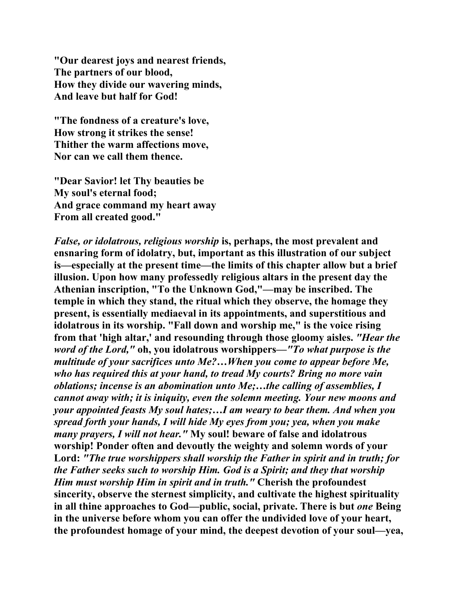**"Our dearest joys and nearest friends, The partners of our blood, How they divide our wavering minds, And leave but half for God!** 

**"The fondness of a creature's love, How strong it strikes the sense! Thither the warm affections move, Nor can we call them thence.** 

**"Dear Savior! let Thy beauties be My soul's eternal food; And grace command my heart away From all created good."** 

*False, or idolatrous, religious worship* **is, perhaps, the most prevalent and ensnaring form of idolatry, but, important as this illustration of our subject is—especially at the present time—the limits of this chapter allow but a brief illusion. Upon how many professedly religious altars in the present day the Athenian inscription, "To the Unknown God,"—may be inscribed. The temple in which they stand, the ritual which they observe, the homage they present, is essentially mediaeval in its appointments, and superstitious and idolatrous in its worship. "Fall down and worship me," is the voice rising from that 'high altar,' and resounding through those gloomy aisles.** *"Hear the word of the Lord,"* **oh, you idolatrous worshippers—***"To what purpose is the multitude of your sacrifices unto Me?…When you come to appear before Me, who has required this at your hand, to tread My courts? Bring no more vain oblations; incense is an abomination unto Me;…the calling of assemblies, I cannot away with; it is iniquity, even the solemn meeting. Your new moons and your appointed feasts My soul hates;…I am weary to bear them. And when you spread forth your hands, I will hide My eyes from you; yea, when you make many prayers, I will not hear."* **My soul! beware of false and idolatrous worship! Ponder often and devoutly the weighty and solemn words of your Lord:** *"The true worshippers shall worship the Father in spirit and in truth; for the Father seeks such to worship Him. God is a Spirit; and they that worship Him must worship Him in spirit and in truth."* **Cherish the profoundest sincerity, observe the sternest simplicity, and cultivate the highest spirituality in all thine approaches to God—public, social, private. There is but** *one* **Being in the universe before whom you can offer the undivided love of your heart, the profoundest homage of your mind, the deepest devotion of your soul—yea,**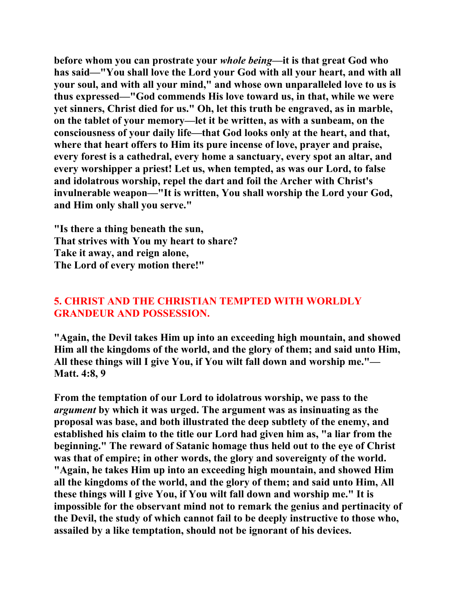**before whom you can prostrate your** *whole being***—it is that great God who has said—"You shall love the Lord your God with all your heart, and with all your soul, and with all your mind," and whose own unparalleled love to us is thus expressed—"God commends His love toward us, in that, while we were yet sinners, Christ died for us." Oh, let this truth be engraved, as in marble, on the tablet of your memory—let it be written, as with a sunbeam, on the consciousness of your daily life—that God looks only at the heart, and that, where that heart offers to Him its pure incense of love, prayer and praise, every forest is a cathedral, every home a sanctuary, every spot an altar, and every worshipper a priest! Let us, when tempted, as was our Lord, to false and idolatrous worship, repel the dart and foil the Archer with Christ's invulnerable weapon—"It is written, You shall worship the Lord your God, and Him only shall you serve."** 

**"Is there a thing beneath the sun, That strives with You my heart to share? Take it away, and reign alone, The Lord of every motion there!"** 

# **5. CHRIST AND THE CHRISTIAN TEMPTED WITH WORLDLY GRANDEUR AND POSSESSION.**

**"Again, the Devil takes Him up into an exceeding high mountain, and showed Him all the kingdoms of the world, and the glory of them; and said unto Him, All these things will I give You, if You wilt fall down and worship me."— Matt. 4:8, 9** 

**From the temptation of our Lord to idolatrous worship, we pass to the**  *argument* **by which it was urged. The argument was as insinuating as the proposal was base, and both illustrated the deep subtlety of the enemy, and established his claim to the title our Lord had given him as, "a liar from the beginning." The reward of Satanic homage thus held out to the eye of Christ was that of empire; in other words, the glory and sovereignty of the world. "Again, he takes Him up into an exceeding high mountain, and showed Him all the kingdoms of the world, and the glory of them; and said unto Him, All these things will I give You, if You wilt fall down and worship me." It is impossible for the observant mind not to remark the genius and pertinacity of the Devil, the study of which cannot fail to be deeply instructive to those who, assailed by a like temptation, should not be ignorant of his devices.**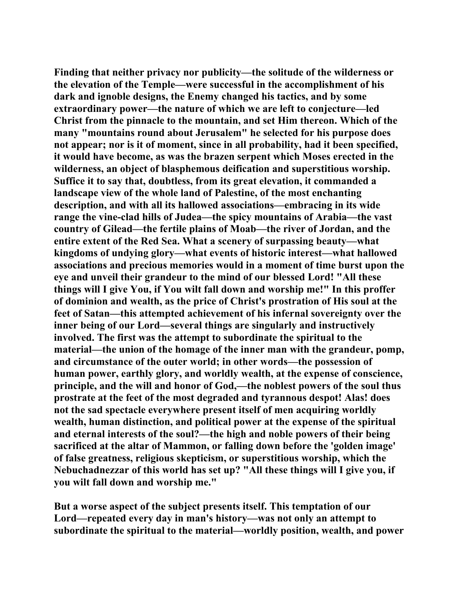**Finding that neither privacy nor publicity—the solitude of the wilderness or the elevation of the Temple—were successful in the accomplishment of his dark and ignoble designs, the Enemy changed his tactics, and by some extraordinary power—the nature of which we are left to conjecture—led Christ from the pinnacle to the mountain, and set Him thereon. Which of the many "mountains round about Jerusalem" he selected for his purpose does not appear; nor is it of moment, since in all probability, had it been specified, it would have become, as was the brazen serpent which Moses erected in the wilderness, an object of blasphemous deification and superstitious worship. Suffice it to say that, doubtless, from its great elevation, it commanded a landscape view of the whole land of Palestine, of the most enchanting description, and with all its hallowed associations—embracing in its wide range the vine-clad hills of Judea—the spicy mountains of Arabia—the vast country of Gilead—the fertile plains of Moab—the river of Jordan, and the entire extent of the Red Sea. What a scenery of surpassing beauty—what kingdoms of undying glory—what events of historic interest—what hallowed associations and precious memories would in a moment of time burst upon the eye and unveil their grandeur to the mind of our blessed Lord! "All these things will I give You, if You wilt fall down and worship me!" In this proffer of dominion and wealth, as the price of Christ's prostration of His soul at the feet of Satan—this attempted achievement of his infernal sovereignty over the inner being of our Lord—several things are singularly and instructively involved. The first was the attempt to subordinate the spiritual to the material—the union of the homage of the inner man with the grandeur, pomp, and circumstance of the outer world; in other words—the possession of human power, earthly glory, and worldly wealth, at the expense of conscience, principle, and the will and honor of God,—the noblest powers of the soul thus prostrate at the feet of the most degraded and tyrannous despot! Alas! does not the sad spectacle everywhere present itself of men acquiring worldly wealth, human distinction, and political power at the expense of the spiritual and eternal interests of the soul?—the high and noble powers of their being sacrificed at the altar of Mammon, or falling down before the 'golden image' of false greatness, religious skepticism, or superstitious worship, which the Nebuchadnezzar of this world has set up? "All these things will I give you, if you wilt fall down and worship me."** 

**But a worse aspect of the subject presents itself. This temptation of our Lord—repeated every day in man's history—was not only an attempt to subordinate the spiritual to the material—worldly position, wealth, and power**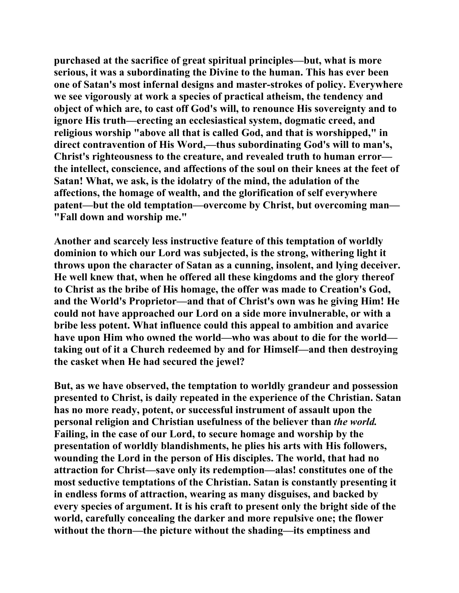**purchased at the sacrifice of great spiritual principles—but, what is more serious, it was a subordinating the Divine to the human. This has ever been one of Satan's most infernal designs and master-strokes of policy. Everywhere we see vigorously at work a species of practical atheism, the tendency and object of which are, to cast off God's will, to renounce His sovereignty and to ignore His truth—erecting an ecclesiastical system, dogmatic creed, and religious worship "above all that is called God, and that is worshipped," in direct contravention of His Word,—thus subordinating God's will to man's, Christ's righteousness to the creature, and revealed truth to human error the intellect, conscience, and affections of the soul on their knees at the feet of Satan! What, we ask, is the idolatry of the mind, the adulation of the affections, the homage of wealth, and the glorification of self everywhere patent—but the old temptation—overcome by Christ, but overcoming man— "Fall down and worship me."** 

**Another and scarcely less instructive feature of this temptation of worldly dominion to which our Lord was subjected, is the strong, withering light it throws upon the character of Satan as a cunning, insolent, and lying deceiver. He well knew that, when he offered all these kingdoms and the glory thereof to Christ as the bribe of His homage, the offer was made to Creation's God, and the World's Proprietor—and that of Christ's own was he giving Him! He could not have approached our Lord on a side more invulnerable, or with a bribe less potent. What influence could this appeal to ambition and avarice have upon Him who owned the world—who was about to die for the world taking out of it a Church redeemed by and for Himself—and then destroying the casket when He had secured the jewel?** 

**But, as we have observed, the temptation to worldly grandeur and possession presented to Christ, is daily repeated in the experience of the Christian. Satan has no more ready, potent, or successful instrument of assault upon the personal religion and Christian usefulness of the believer than** *the world.*  **Failing, in the case of our Lord, to secure homage and worship by the presentation of worldly blandishments, he plies his arts with His followers, wounding the Lord in the person of His disciples. The world, that had no attraction for Christ—save only its redemption—alas! constitutes one of the most seductive temptations of the Christian. Satan is constantly presenting it in endless forms of attraction, wearing as many disguises, and backed by every species of argument. It is his craft to present only the bright side of the world, carefully concealing the darker and more repulsive one; the flower without the thorn—the picture without the shading—its emptiness and**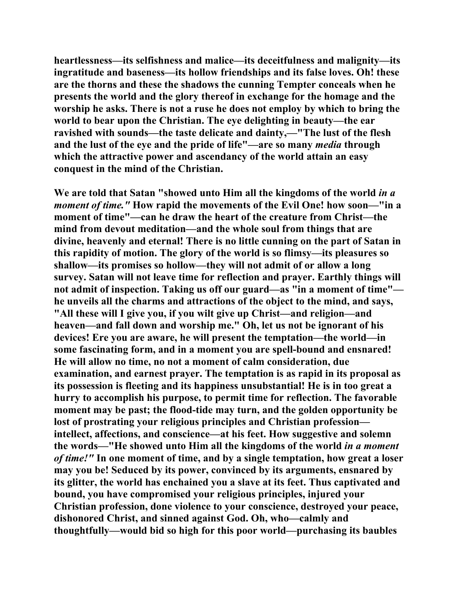**heartlessness—its selfishness and malice—its deceitfulness and malignity—its ingratitude and baseness—its hollow friendships and its false loves. Oh! these are the thorns and these the shadows the cunning Tempter conceals when he presents the world and the glory thereof in exchange for the homage and the worship he asks. There is not a ruse he does not employ by which to bring the world to bear upon the Christian. The eye delighting in beauty—the ear ravished with sounds—the taste delicate and dainty,—"The lust of the flesh and the lust of the eye and the pride of life"—are so many** *media* **through which the attractive power and ascendancy of the world attain an easy conquest in the mind of the Christian.** 

**We are told that Satan "showed unto Him all the kingdoms of the world** *in a moment of time."* **How rapid the movements of the Evil One! how soon—"in a moment of time"—can he draw the heart of the creature from Christ—the mind from devout meditation—and the whole soul from things that are divine, heavenly and eternal! There is no little cunning on the part of Satan in this rapidity of motion. The glory of the world is so flimsy—its pleasures so shallow—its promises so hollow—they will not admit of or allow a long survey. Satan will not leave time for reflection and prayer. Earthly things will not admit of inspection. Taking us off our guard—as "in a moment of time" he unveils all the charms and attractions of the object to the mind, and says, "All these will I give you, if you wilt give up Christ—and religion—and heaven—and fall down and worship me." Oh, let us not be ignorant of his devices! Ere you are aware, he will present the temptation—the world—in some fascinating form, and in a moment you are spell-bound and ensnared! He will allow no time, no not a moment of calm consideration, due examination, and earnest prayer. The temptation is as rapid in its proposal as its possession is fleeting and its happiness unsubstantial! He is in too great a hurry to accomplish his purpose, to permit time for reflection. The favorable moment may be past; the flood-tide may turn, and the golden opportunity be lost of prostrating your religious principles and Christian profession intellect, affections, and conscience—at his feet. How suggestive and solemn the words—"He showed unto Him all the kingdoms of the world** *in a moment of time!"* **In one moment of time, and by a single temptation, how great a loser may you be! Seduced by its power, convinced by its arguments, ensnared by its glitter, the world has enchained you a slave at its feet. Thus captivated and bound, you have compromised your religious principles, injured your Christian profession, done violence to your conscience, destroyed your peace, dishonored Christ, and sinned against God. Oh, who—calmly and thoughtfully—would bid so high for this poor world—purchasing its baubles**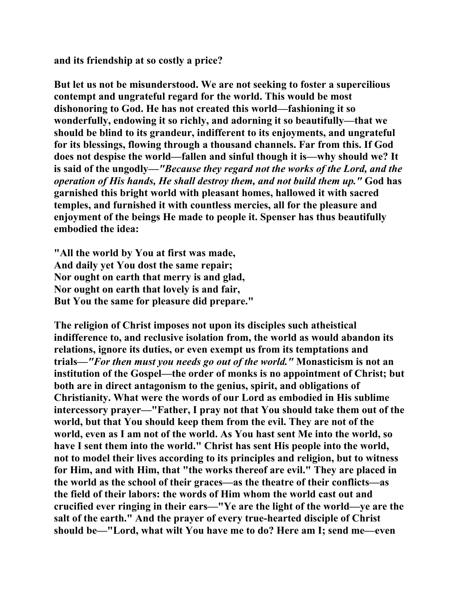**and its friendship at so costly a price?** 

**But let us not be misunderstood. We are not seeking to foster a supercilious contempt and ungrateful regard for the world. This would be most dishonoring to God. He has not created this world—fashioning it so wonderfully, endowing it so richly, and adorning it so beautifully—that we should be blind to its grandeur, indifferent to its enjoyments, and ungrateful for its blessings, flowing through a thousand channels. Far from this. If God does not despise the world—fallen and sinful though it is—why should we? It is said of the ungodly—***"Because they regard not the works of the Lord, and the operation of His hands, He shall destroy them, and not build them up."* **God has garnished this bright world with pleasant homes, hallowed it with sacred temples, and furnished it with countless mercies, all for the pleasure and enjoyment of the beings He made to people it. Spenser has thus beautifully embodied the idea:** 

**"All the world by You at first was made, And daily yet You dost the same repair; Nor ought on earth that merry is and glad, Nor ought on earth that lovely is and fair, But You the same for pleasure did prepare."** 

**The religion of Christ imposes not upon its disciples such atheistical indifference to, and reclusive isolation from, the world as would abandon its relations, ignore its duties, or even exempt us from its temptations and trials—***"For then must you needs go out of the world."* **Monasticism is not an institution of the Gospel—the order of monks is no appointment of Christ; but both are in direct antagonism to the genius, spirit, and obligations of Christianity. What were the words of our Lord as embodied in His sublime intercessory prayer—"Father, I pray not that You should take them out of the world, but that You should keep them from the evil. They are not of the world, even as I am not of the world. As You hast sent Me into the world, so have I sent them into the world." Christ has sent His people into the world, not to model their lives according to its principles and religion, but to witness for Him, and with Him, that "the works thereof are evil." They are placed in the world as the school of their graces—as the theatre of their conflicts—as the field of their labors: the words of Him whom the world cast out and crucified ever ringing in their ears—"Ye are the light of the world—ye are the salt of the earth." And the prayer of every true-hearted disciple of Christ should be—"Lord, what wilt You have me to do? Here am I; send me—even**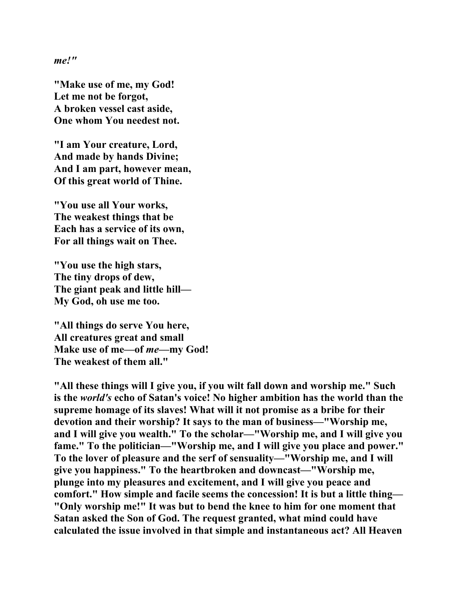*me!"* 

**"Make use of me, my God! Let me not be forgot, A broken vessel cast aside, One whom You needest not.** 

**"I am Your creature, Lord, And made by hands Divine; And I am part, however mean, Of this great world of Thine.** 

**"You use all Your works, The weakest things that be Each has a service of its own, For all things wait on Thee.** 

**"You use the high stars, The tiny drops of dew, The giant peak and little hill— My God, oh use me too.** 

**"All things do serve You here, All creatures great and small Make use of me—of** *me***—my God! The weakest of them all."** 

**"All these things will I give you, if you wilt fall down and worship me." Such is the** *world's* **echo of Satan's voice! No higher ambition has the world than the supreme homage of its slaves! What will it not promise as a bribe for their devotion and their worship? It says to the man of business—"Worship me, and I will give you wealth." To the scholar—"Worship me, and I will give you fame." To the politician—"Worship me, and I will give you place and power." To the lover of pleasure and the serf of sensuality—"Worship me, and I will give you happiness." To the heartbroken and downcast—"Worship me, plunge into my pleasures and excitement, and I will give you peace and comfort." How simple and facile seems the concession! It is but a little thing— "Only worship me!" It was but to bend the knee to him for one moment that Satan asked the Son of God. The request granted, what mind could have calculated the issue involved in that simple and instantaneous act? All Heaven**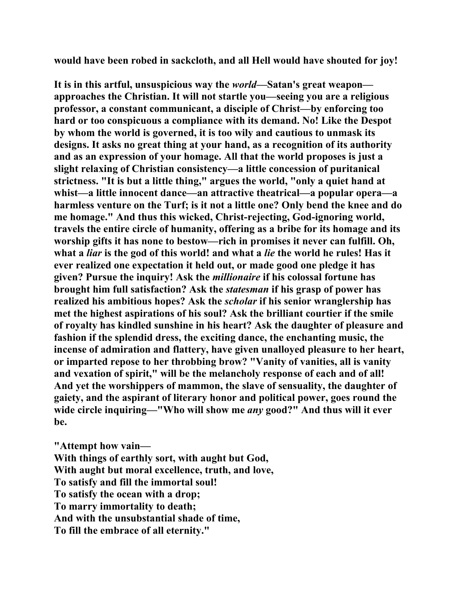**would have been robed in sackcloth, and all Hell would have shouted for joy!** 

**It is in this artful, unsuspicious way the** *world***—Satan's great weapon approaches the Christian. It will not startle you—seeing you are a religious professor, a constant communicant, a disciple of Christ—by enforcing too hard or too conspicuous a compliance with its demand. No! Like the Despot by whom the world is governed, it is too wily and cautious to unmask its designs. It asks no great thing at your hand, as a recognition of its authority and as an expression of your homage. All that the world proposes is just a slight relaxing of Christian consistency—a little concession of puritanical strictness. "It is but a little thing," argues the world, "only a quiet hand at whist—a little innocent dance—an attractive theatrical—a popular opera—a harmless venture on the Turf; is it not a little one? Only bend the knee and do me homage." And thus this wicked, Christ-rejecting, God-ignoring world, travels the entire circle of humanity, offering as a bribe for its homage and its worship gifts it has none to bestow—rich in promises it never can fulfill. Oh, what a** *liar* **is the god of this world! and what a** *lie* **the world he rules! Has it ever realized one expectation it held out, or made good one pledge it has given? Pursue the inquiry! Ask the** *millionaire* **if his colossal fortune has brought him full satisfaction? Ask the** *statesman* **if his grasp of power has realized his ambitious hopes? Ask the** *scholar* **if his senior wranglership has met the highest aspirations of his soul? Ask the brilliant courtier if the smile of royalty has kindled sunshine in his heart? Ask the daughter of pleasure and fashion if the splendid dress, the exciting dance, the enchanting music, the incense of admiration and flattery, have given unalloyed pleasure to her heart, or imparted repose to her throbbing brow? "Vanity of vanities, all is vanity and vexation of spirit," will be the melancholy response of each and of all! And yet the worshippers of mammon, the slave of sensuality, the daughter of gaiety, and the aspirant of literary honor and political power, goes round the wide circle inquiring—"Who will show me** *any* **good?" And thus will it ever be.** 

**"Attempt how vain— With things of earthly sort, with aught but God, With aught but moral excellence, truth, and love, To satisfy and fill the immortal soul! To satisfy the ocean with a drop; To marry immortality to death; And with the unsubstantial shade of time, To fill the embrace of all eternity."**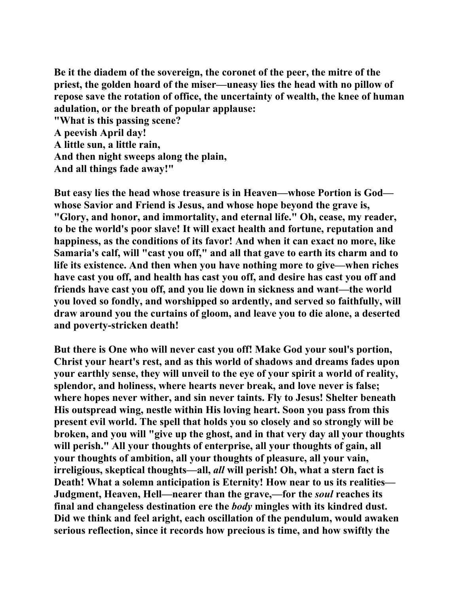**Be it the diadem of the sovereign, the coronet of the peer, the mitre of the priest, the golden hoard of the miser—uneasy lies the head with no pillow of repose save the rotation of office, the uncertainty of wealth, the knee of human adulation, or the breath of popular applause:** 

**"What is this passing scene? A peevish April day! A little sun, a little rain, And then night sweeps along the plain, And all things fade away!"** 

**But easy lies the head whose treasure is in Heaven—whose Portion is God whose Savior and Friend is Jesus, and whose hope beyond the grave is, "Glory, and honor, and immortality, and eternal life." Oh, cease, my reader, to be the world's poor slave! It will exact health and fortune, reputation and happiness, as the conditions of its favor! And when it can exact no more, like Samaria's calf, will "cast you off," and all that gave to earth its charm and to life its existence. And then when you have nothing more to give—when riches have cast you off, and health has cast you off, and desire has cast you off and friends have cast you off, and you lie down in sickness and want—the world you loved so fondly, and worshipped so ardently, and served so faithfully, will draw around you the curtains of gloom, and leave you to die alone, a deserted and poverty-stricken death!** 

**But there is One who will never cast you off! Make God your soul's portion, Christ your heart's rest, and as this world of shadows and dreams fades upon your earthly sense, they will unveil to the eye of your spirit a world of reality, splendor, and holiness, where hearts never break, and love never is false; where hopes never wither, and sin never taints. Fly to Jesus! Shelter beneath His outspread wing, nestle within His loving heart. Soon you pass from this present evil world. The spell that holds you so closely and so strongly will be broken, and you will "give up the ghost, and in that very day all your thoughts will perish." All your thoughts of enterprise, all your thoughts of gain, all your thoughts of ambition, all your thoughts of pleasure, all your vain, irreligious, skeptical thoughts—all,** *all* **will perish! Oh, what a stern fact is Death! What a solemn anticipation is Eternity! How near to us its realities— Judgment, Heaven, Hell—nearer than the grave,—for the** *soul* **reaches its final and changeless destination ere the** *body* **mingles with its kindred dust. Did we think and feel aright, each oscillation of the pendulum, would awaken serious reflection, since it records how precious is time, and how swiftly the**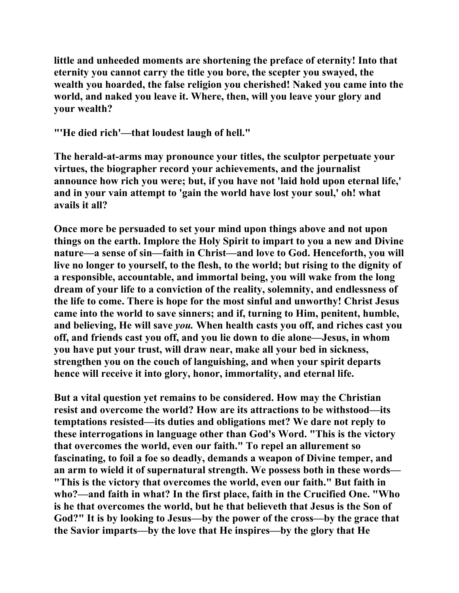**little and unheeded moments are shortening the preface of eternity! Into that eternity you cannot carry the title you bore, the scepter you swayed, the wealth you hoarded, the false religion you cherished! Naked you came into the world, and naked you leave it. Where, then, will you leave your glory and your wealth?** 

**"'He died rich'—that loudest laugh of hell."** 

**The herald-at-arms may pronounce your titles, the sculptor perpetuate your virtues, the biographer record your achievements, and the journalist announce how rich you were; but, if you have not 'laid hold upon eternal life,' and in your vain attempt to 'gain the world have lost your soul,' oh! what avails it all?** 

**Once more be persuaded to set your mind upon things above and not upon things on the earth. Implore the Holy Spirit to impart to you a new and Divine nature—a sense of sin—faith in Christ—and love to God. Henceforth, you will live no longer to yourself, to the flesh, to the world; but rising to the dignity of a responsible, accountable, and immortal being, you will wake from the long dream of your life to a conviction of the reality, solemnity, and endlessness of the life to come. There is hope for the most sinful and unworthy! Christ Jesus came into the world to save sinners; and if, turning to Him, penitent, humble, and believing, He will save** *you.* **When health casts you off, and riches cast you off, and friends cast you off, and you lie down to die alone—Jesus, in whom you have put your trust, will draw near, make all your bed in sickness, strengthen you on the couch of languishing, and when your spirit departs hence will receive it into glory, honor, immortality, and eternal life.** 

**But a vital question yet remains to be considered. How may the Christian resist and overcome the world? How are its attractions to be withstood—its temptations resisted—its duties and obligations met? We dare not reply to these interrogations in language other than God's Word. "This is the victory that overcomes the world, even our faith." To repel an allurement so fascinating, to foil a foe so deadly, demands a weapon of Divine temper, and an arm to wield it of supernatural strength. We possess both in these words— "This is the victory that overcomes the world, even our faith." But faith in who?—and faith in what? In the first place, faith in the Crucified One. "Who is he that overcomes the world, but he that believeth that Jesus is the Son of God?" It is by looking to Jesus—by the power of the cross—by the grace that the Savior imparts—by the love that He inspires—by the glory that He**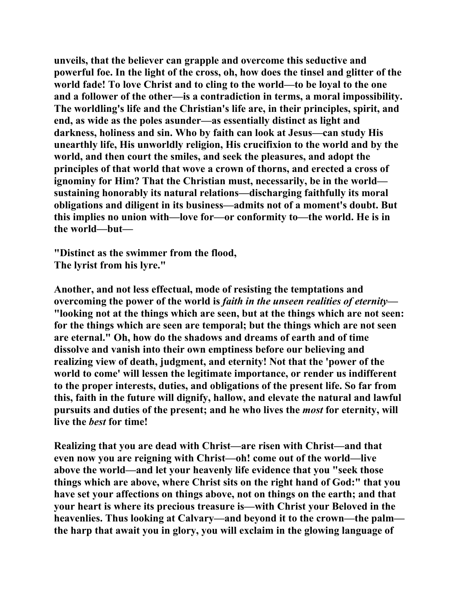**unveils, that the believer can grapple and overcome this seductive and powerful foe. In the light of the cross, oh, how does the tinsel and glitter of the world fade! To love Christ and to cling to the world—to be loyal to the one and a follower of the other—is a contradiction in terms, a moral impossibility. The worldling's life and the Christian's life are, in their principles, spirit, and end, as wide as the poles asunder—as essentially distinct as light and darkness, holiness and sin. Who by faith can look at Jesus—can study His unearthly life, His unworldly religion, His crucifixion to the world and by the world, and then court the smiles, and seek the pleasures, and adopt the principles of that world that wove a crown of thorns, and erected a cross of ignominy for Him? That the Christian must, necessarily, be in the world sustaining honorably its natural relations—discharging faithfully its moral obligations and diligent in its business—admits not of a moment's doubt. But this implies no union with—love for—or conformity to—the world. He is in the world—but—** 

**"Distinct as the swimmer from the flood, The lyrist from his lyre."** 

**Another, and not less effectual, mode of resisting the temptations and overcoming the power of the world is** *faith in the unseen realities of eternity—* **"looking not at the things which are seen, but at the things which are not seen: for the things which are seen are temporal; but the things which are not seen are eternal." Oh, how do the shadows and dreams of earth and of time dissolve and vanish into their own emptiness before our believing and realizing view of death, judgment, and eternity! Not that the 'power of the world to come' will lessen the legitimate importance, or render us indifferent to the proper interests, duties, and obligations of the present life. So far from this, faith in the future will dignify, hallow, and elevate the natural and lawful pursuits and duties of the present; and he who lives the** *most* **for eternity, will live the** *best* **for time!** 

**Realizing that you are dead with Christ—are risen with Christ—and that even now you are reigning with Christ—oh! come out of the world—live above the world—and let your heavenly life evidence that you "seek those things which are above, where Christ sits on the right hand of God:" that you have set your affections on things above, not on things on the earth; and that your heart is where its precious treasure is—with Christ your Beloved in the heavenlies. Thus looking at Calvary—and beyond it to the crown—the palm the harp that await you in glory, you will exclaim in the glowing language of**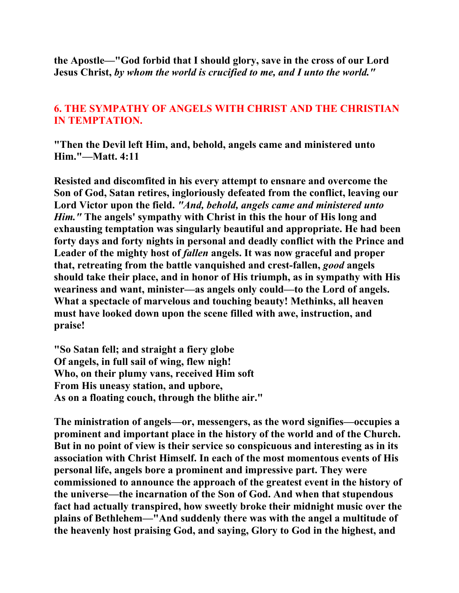**the Apostle—"God forbid that I should glory, save in the cross of our Lord Jesus Christ,** *by whom the world is crucified to me, and I unto the world."* 

# **6. THE SYMPATHY OF ANGELS WITH CHRIST AND THE CHRISTIAN IN TEMPTATION.**

**"Then the Devil left Him, and, behold, angels came and ministered unto Him."—Matt. 4:11** 

**Resisted and discomfited in his every attempt to ensnare and overcome the Son of God, Satan retires, ingloriously defeated from the conflict, leaving our Lord Victor upon the field.** *"And, behold, angels came and ministered unto Him."* **The angels' sympathy with Christ in this the hour of His long and exhausting temptation was singularly beautiful and appropriate. He had been forty days and forty nights in personal and deadly conflict with the Prince and**  Leader of the mighty host of *fallen* angels. It was now graceful and proper **that, retreating from the battle vanquished and crest-fallen,** *good* **angels should take their place, and in honor of His triumph, as in sympathy with His weariness and want, minister—as angels only could—to the Lord of angels. What a spectacle of marvelous and touching beauty! Methinks, all heaven must have looked down upon the scene filled with awe, instruction, and praise!** 

**"So Satan fell; and straight a fiery globe Of angels, in full sail of wing, flew nigh! Who, on their plumy vans, received Him soft From His uneasy station, and upbore, As on a floating couch, through the blithe air."** 

**The ministration of angels—or, messengers, as the word signifies—occupies a prominent and important place in the history of the world and of the Church. But in no point of view is their service so conspicuous and interesting as in its association with Christ Himself. In each of the most momentous events of His personal life, angels bore a prominent and impressive part. They were commissioned to announce the approach of the greatest event in the history of the universe—the incarnation of the Son of God. And when that stupendous fact had actually transpired, how sweetly broke their midnight music over the plains of Bethlehem—"And suddenly there was with the angel a multitude of the heavenly host praising God, and saying, Glory to God in the highest, and**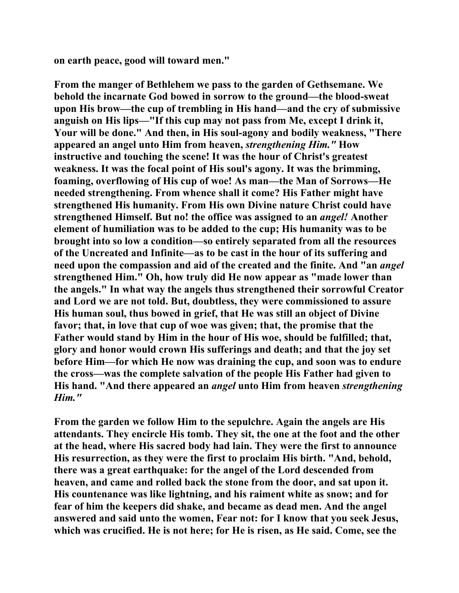**on earth peace, good will toward men."** 

**From the manger of Bethlehem we pass to the garden of Gethsemane. We behold the incarnate God bowed in sorrow to the ground—the blood-sweat upon His brow—the cup of trembling in His hand—and the cry of submissive anguish on His lips—"If this cup may not pass from Me, except I drink it, Your will be done." And then, in His soul-agony and bodily weakness, "There appeared an angel unto Him from heaven,** *strengthening Him."* **How instructive and touching the scene! It was the hour of Christ's greatest weakness. It was the focal point of His soul's agony. It was the brimming, foaming, overflowing of His cup of woe! As man—the Man of Sorrows—He needed strengthening. From whence shall it come? His Father might have strengthened His humanity. From His own Divine nature Christ could have strengthened Himself. But no! the office was assigned to an** *angel!* **Another element of humiliation was to be added to the cup; His humanity was to be brought into so low a condition—so entirely separated from all the resources of the Uncreated and Infinite—as to be cast in the hour of its suffering and need upon the compassion and aid of the created and the finite. And "an** *angel*  **strengthened Him." Oh, how truly did He now appear as "made lower than the angels." In what way the angels thus strengthened their sorrowful Creator and Lord we are not told. But, doubtless, they were commissioned to assure His human soul, thus bowed in grief, that He was still an object of Divine favor; that, in love that cup of woe was given; that, the promise that the Father would stand by Him in the hour of His woe, should be fulfilled; that, glory and honor would crown His sufferings and death; and that the joy set before Him—for which He now was draining the cup, and soon was to endure the cross—was the complete salvation of the people His Father had given to His hand. "And there appeared an** *angel* **unto Him from heaven** *strengthening Him."* 

**From the garden we follow Him to the sepulchre. Again the angels are His attendants. They encircle His tomb. They sit, the one at the foot and the other at the head, where His sacred body had lain. They were the first to announce His resurrection, as they were the first to proclaim His birth. "And, behold, there was a great earthquake: for the angel of the Lord descended from heaven, and came and rolled back the stone from the door, and sat upon it. His countenance was like lightning, and his raiment white as snow; and for fear of him the keepers did shake, and became as dead men. And the angel answered and said unto the women, Fear not: for I know that you seek Jesus, which was crucified. He is not here; for He is risen, as He said. Come, see the**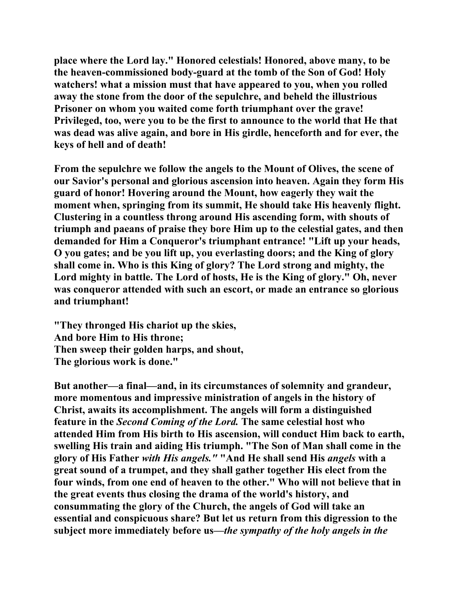**place where the Lord lay." Honored celestials! Honored, above many, to be the heaven-commissioned body-guard at the tomb of the Son of God! Holy watchers! what a mission must that have appeared to you, when you rolled away the stone from the door of the sepulchre, and beheld the illustrious Prisoner on whom you waited come forth triumphant over the grave! Privileged, too, were you to be the first to announce to the world that He that was dead was alive again, and bore in His girdle, henceforth and for ever, the keys of hell and of death!** 

**From the sepulchre we follow the angels to the Mount of Olives, the scene of our Savior's personal and glorious ascension into heaven. Again they form His guard of honor! Hovering around the Mount, how eagerly they wait the moment when, springing from its summit, He should take His heavenly flight. Clustering in a countless throng around His ascending form, with shouts of triumph and paeans of praise they bore Him up to the celestial gates, and then demanded for Him a Conqueror's triumphant entrance! "Lift up your heads, O you gates; and be you lift up, you everlasting doors; and the King of glory shall come in. Who is this King of glory? The Lord strong and mighty, the Lord mighty in battle. The Lord of hosts, He is the King of glory." Oh, never was conqueror attended with such an escort, or made an entrance so glorious and triumphant!** 

**"They thronged His chariot up the skies, And bore Him to His throne; Then sweep their golden harps, and shout, The glorious work is done."** 

**But another—a final—and, in its circumstances of solemnity and grandeur, more momentous and impressive ministration of angels in the history of Christ, awaits its accomplishment. The angels will form a distinguished feature in the** *Second Coming of the Lord.* **The same celestial host who attended Him from His birth to His ascension, will conduct Him back to earth, swelling His train and aiding His triumph. "The Son of Man shall come in the glory of His Father** *with His angels."* **"And He shall send His** *angels* **with a great sound of a trumpet, and they shall gather together His elect from the four winds, from one end of heaven to the other." Who will not believe that in the great events thus closing the drama of the world's history, and consummating the glory of the Church, the angels of God will take an essential and conspicuous share? But let us return from this digression to the subject more immediately before us—***the sympathy of the holy angels in the*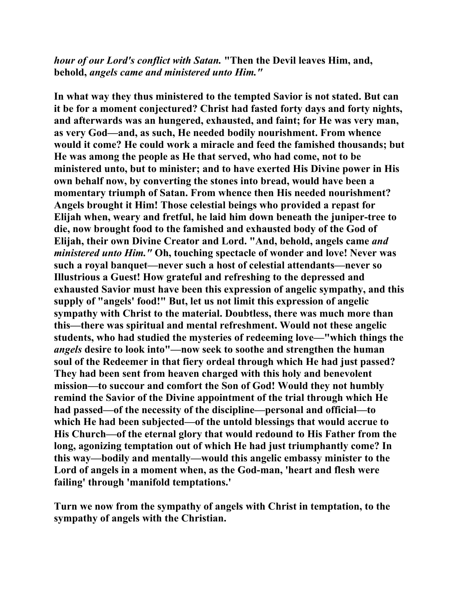*hour of our Lord's conflict with Satan.* **"Then the Devil leaves Him, and, behold,** *angels came and ministered unto Him."* 

**In what way they thus ministered to the tempted Savior is not stated. But can it be for a moment conjectured? Christ had fasted forty days and forty nights, and afterwards was an hungered, exhausted, and faint; for He was very man, as very God—and, as such, He needed bodily nourishment. From whence would it come? He could work a miracle and feed the famished thousands; but He was among the people as He that served, who had come, not to be ministered unto, but to minister; and to have exerted His Divine power in His own behalf now, by converting the stones into bread, would have been a momentary triumph of Satan. From whence then His needed nourishment? Angels brought it Him! Those celestial beings who provided a repast for Elijah when, weary and fretful, he laid him down beneath the juniper-tree to die, now brought food to the famished and exhausted body of the God of Elijah, their own Divine Creator and Lord. "And, behold, angels came** *and ministered unto Him."* **Oh, touching spectacle of wonder and love! Never was such a royal banquet—never such a host of celestial attendants—never so Illustrious a Guest! How grateful and refreshing to the depressed and exhausted Savior must have been this expression of angelic sympathy, and this supply of "angels' food!" But, let us not limit this expression of angelic sympathy with Christ to the material. Doubtless, there was much more than this—there was spiritual and mental refreshment. Would not these angelic students, who had studied the mysteries of redeeming love—"which things the**  *angels* **desire to look into"—now seek to soothe and strengthen the human soul of the Redeemer in that fiery ordeal through which He had just passed? They had been sent from heaven charged with this holy and benevolent mission—to succour and comfort the Son of God! Would they not humbly remind the Savior of the Divine appointment of the trial through which He had passed—of the necessity of the discipline—personal and official—to which He had been subjected—of the untold blessings that would accrue to His Church—of the eternal glory that would redound to His Father from the long, agonizing temptation out of which He had just triumphantly come? In this way—bodily and mentally—would this angelic embassy minister to the Lord of angels in a moment when, as the God-man, 'heart and flesh were failing' through 'manifold temptations.'** 

**Turn we now from the sympathy of angels with Christ in temptation, to the sympathy of angels with the Christian.**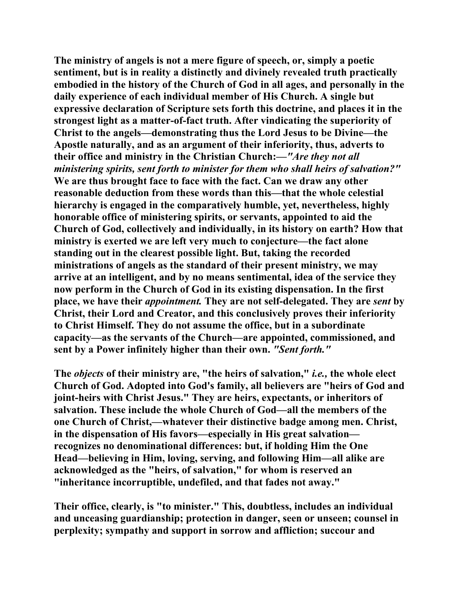**The ministry of angels is not a mere figure of speech, or, simply a poetic sentiment, but is in reality a distinctly and divinely revealed truth practically embodied in the history of the Church of God in all ages, and personally in the daily experience of each individual member of His Church. A single but expressive declaration of Scripture sets forth this doctrine, and places it in the strongest light as a matter-of-fact truth. After vindicating the superiority of Christ to the angels—demonstrating thus the Lord Jesus to be Divine—the Apostle naturally, and as an argument of their inferiority, thus, adverts to their office and ministry in the Christian Church:—***"Are they not all ministering spirits, sent forth to minister for them who shall heirs of salvation?"*  **We are thus brought face to face with the fact. Can we draw any other reasonable deduction from these words than this—that the whole celestial hierarchy is engaged in the comparatively humble, yet, nevertheless, highly honorable office of ministering spirits, or servants, appointed to aid the Church of God, collectively and individually, in its history on earth? How that ministry is exerted we are left very much to conjecture—the fact alone standing out in the clearest possible light. But, taking the recorded ministrations of angels as the standard of their present ministry, we may arrive at an intelligent, and by no means sentimental, idea of the service they now perform in the Church of God in its existing dispensation. In the first place, we have their** *appointment.* **They are not self-delegated. They are** *sent* **by Christ, their Lord and Creator, and this conclusively proves their inferiority to Christ Himself. They do not assume the office, but in a subordinate capacity—as the servants of the Church—are appointed, commissioned, and sent by a Power infinitely higher than their own.** *"Sent forth."* 

**The** *objects* **of their ministry are, "the heirs of salvation,"** *i.e.,* **the whole elect Church of God. Adopted into God's family, all believers are "heirs of God and joint-heirs with Christ Jesus." They are heirs, expectants, or inheritors of salvation. These include the whole Church of God—all the members of the one Church of Christ,—whatever their distinctive badge among men. Christ, in the dispensation of His favors—especially in His great salvation recognizes no denominational differences: but, if holding Him the One Head—believing in Him, loving, serving, and following Him—all alike are acknowledged as the "heirs, of salvation," for whom is reserved an "inheritance incorruptible, undefiled, and that fades not away."** 

**Their office, clearly, is "to minister." This, doubtless, includes an individual and unceasing guardianship; protection in danger, seen or unseen; counsel in perplexity; sympathy and support in sorrow and affliction; succour and**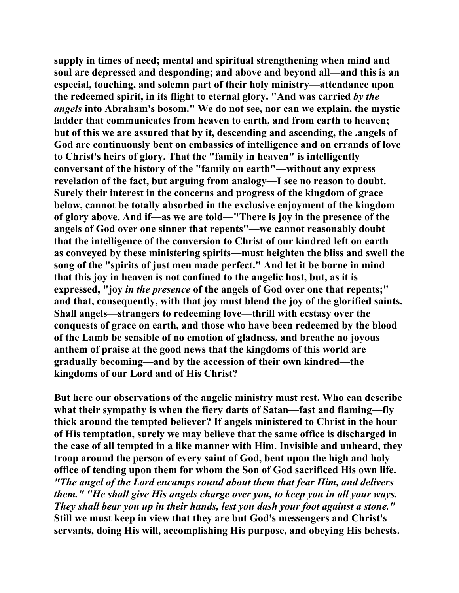**supply in times of need; mental and spiritual strengthening when mind and soul are depressed and desponding; and above and beyond all—and this is an especial, touching, and solemn part of their holy ministry—attendance upon the redeemed spirit, in its flight to eternal glory. "And was carried** *by the angels* **into Abraham's bosom." We do not see, nor can we explain, the mystic**  ladder that communicates from heaven to earth, and from earth to heaven; **but of this we are assured that by it, descending and ascending, the .angels of God are continuously bent on embassies of intelligence and on errands of love to Christ's heirs of glory. That the "family in heaven" is intelligently conversant of the history of the "family on earth"—without any express revelation of the fact, but arguing from analogy—I see no reason to doubt. Surely their interest in the concerns and progress of the kingdom of grace below, cannot be totally absorbed in the exclusive enjoyment of the kingdom of glory above. And if—as we are told—"There is joy in the presence of the angels of God over one sinner that repents"—we cannot reasonably doubt that the intelligence of the conversion to Christ of our kindred left on earth as conveyed by these ministering spirits—must heighten the bliss and swell the song of the "spirits of just men made perfect." And let it be borne in mind that this joy in heaven is not confined to the angelic host, but, as it is expressed, "joy** *in the presence* **of the angels of God over one that repents;" and that, consequently, with that joy must blend the joy of the glorified saints. Shall angels—strangers to redeeming love—thrill with ecstasy over the conquests of grace on earth, and those who have been redeemed by the blood of the Lamb be sensible of no emotion of gladness, and breathe no joyous anthem of praise at the good news that the kingdoms of this world are gradually becoming—and by the accession of their own kindred—the kingdoms of our Lord and of His Christ?** 

**But here our observations of the angelic ministry must rest. Who can describe what their sympathy is when the fiery darts of Satan—fast and flaming—fly thick around the tempted believer? If angels ministered to Christ in the hour of His temptation, surely we may believe that the same office is discharged in the case of all tempted in a like manner with Him. Invisible and unheard, they troop around the person of every saint of God, bent upon the high and holy office of tending upon them for whom the Son of God sacrificed His own life.**  *"The angel of the Lord encamps round about them that fear Him, and delivers them." "He shall give His angels charge over you, to keep you in all your ways. They shall bear you up in their hands, lest you dash your foot against a stone."*  **Still we must keep in view that they are but God's messengers and Christ's servants, doing His will, accomplishing His purpose, and obeying His behests.**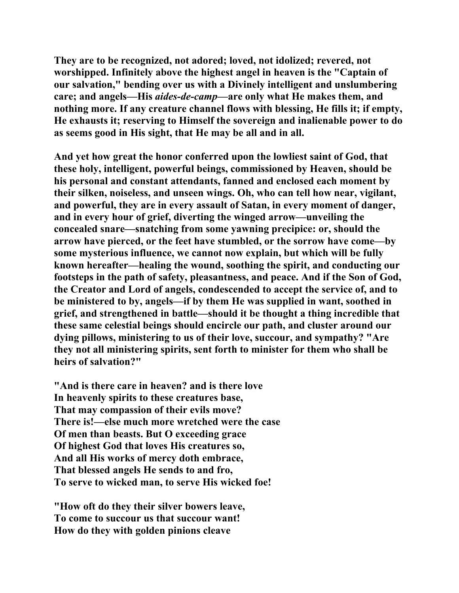**They are to be recognized, not adored; loved, not idolized; revered, not worshipped. Infinitely above the highest angel in heaven is the "Captain of our salvation," bending over us with a Divinely intelligent and unslumbering care; and angels—His** *aides-de-camp—***are only what He makes them, and nothing more. If any creature channel flows with blessing, He fills it; if empty, He exhausts it; reserving to Himself the sovereign and inalienable power to do as seems good in His sight, that He may be all and in all.** 

**And yet how great the honor conferred upon the lowliest saint of God, that these holy, intelligent, powerful beings, commissioned by Heaven, should be his personal and constant attendants, fanned and enclosed each moment by their silken, noiseless, and unseen wings. Oh, who can tell how near, vigilant, and powerful, they are in every assault of Satan, in every moment of danger, and in every hour of grief, diverting the winged arrow—unveiling the concealed snare—snatching from some yawning precipice: or, should the arrow have pierced, or the feet have stumbled, or the sorrow have come—by some mysterious influence, we cannot now explain, but which will be fully known hereafter—healing the wound, soothing the spirit, and conducting our footsteps in the path of safety, pleasantness, and peace. And if the Son of God, the Creator and Lord of angels, condescended to accept the service of, and to be ministered to by, angels—if by them He was supplied in want, soothed in grief, and strengthened in battle—should it be thought a thing incredible that these same celestial beings should encircle our path, and cluster around our dying pillows, ministering to us of their love, succour, and sympathy? "Are they not all ministering spirits, sent forth to minister for them who shall be heirs of salvation?"** 

**"And is there care in heaven? and is there love In heavenly spirits to these creatures base, That may compassion of their evils move? There is!—else much more wretched were the case Of men than beasts. But O exceeding grace Of highest God that loves His creatures so, And all His works of mercy doth embrace, That blessed angels He sends to and fro, To serve to wicked man, to serve His wicked foe!** 

**"How oft do they their silver bowers leave, To come to succour us that succour want! How do they with golden pinions cleave**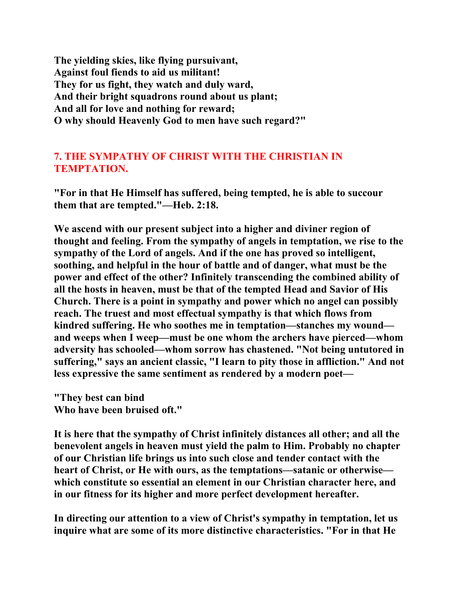**The yielding skies, like flying pursuivant, Against foul fiends to aid us militant! They for us fight, they watch and duly ward, And their bright squadrons round about us plant; And all for love and nothing for reward; O why should Heavenly God to men have such regard?"** 

# **7. THE SYMPATHY OF CHRIST WITH THE CHRISTIAN IN TEMPTATION.**

**"For in that He Himself has suffered, being tempted, he is able to succour them that are tempted."—Heb. 2:18.** 

**We ascend with our present subject into a higher and diviner region of thought and feeling. From the sympathy of angels in temptation, we rise to the sympathy of the Lord of angels. And if the one has proved so intelligent, soothing, and helpful in the hour of battle and of danger, what must be the power and effect of the other? Infinitely transcending the combined ability of all the hosts in heaven, must be that of the tempted Head and Savior of His Church. There is a point in sympathy and power which no angel can possibly reach. The truest and most effectual sympathy is that which flows from kindred suffering. He who soothes me in temptation—stanches my wound and weeps when I weep—must be one whom the archers have pierced—whom adversity has schooled—whom sorrow has chastened. "Not being untutored in suffering," says an ancient classic, "I learn to pity those in affliction." And not less expressive the same sentiment as rendered by a modern poet—** 

**"They best can bind Who have been bruised oft."** 

**It is here that the sympathy of Christ infinitely distances all other; and all the benevolent angels in heaven must yield the palm to Him. Probably no chapter of our Christian life brings us into such close and tender contact with the heart of Christ, or He with ours, as the temptations—satanic or otherwise which constitute so essential an element in our Christian character here, and in our fitness for its higher and more perfect development hereafter.** 

**In directing our attention to a view of Christ's sympathy in temptation, let us inquire what are some of its more distinctive characteristics. "For in that He**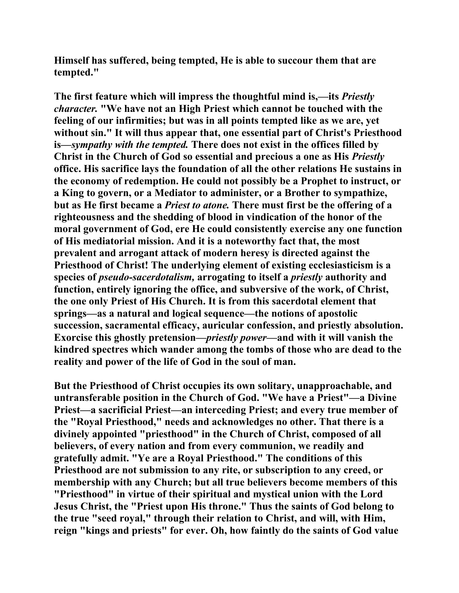**Himself has suffered, being tempted, He is able to succour them that are tempted."** 

**The first feature which will impress the thoughtful mind is,—its** *Priestly character.* **"We have not an High Priest which cannot be touched with the feeling of our infirmities; but was in all points tempted like as we are, yet without sin." It will thus appear that, one essential part of Christ's Priesthood is—***sympathy with the tempted.* **There does not exist in the offices filled by Christ in the Church of God so essential and precious a one as His** *Priestly*  **office. His sacrifice lays the foundation of all the other relations He sustains in the economy of redemption. He could not possibly be a Prophet to instruct, or a King to govern, or a Mediator to administer, or a Brother to sympathize, but as He first became a** *Priest to atone.* **There must first be the offering of a righteousness and the shedding of blood in vindication of the honor of the moral government of God, ere He could consistently exercise any one function of His mediatorial mission. And it is a noteworthy fact that, the most prevalent and arrogant attack of modern heresy is directed against the Priesthood of Christ! The underlying element of existing ecclesiasticism is a species of** *pseudo-sacerdotalism,* **arrogating to itself a** *priestly* **authority and function, entirely ignoring the office, and subversive of the work, of Christ, the one only Priest of His Church. It is from this sacerdotal element that springs—as a natural and logical sequence—the notions of apostolic succession, sacramental efficacy, auricular confession, and priestly absolution. Exorcise this ghostly pretension—***priestly power—***and with it will vanish the kindred spectres which wander among the tombs of those who are dead to the reality and power of the life of God in the soul of man.** 

**But the Priesthood of Christ occupies its own solitary, unapproachable, and untransferable position in the Church of God. "We have a Priest"—a Divine Priest—a sacrificial Priest—an interceding Priest; and every true member of the "Royal Priesthood," needs and acknowledges no other. That there is a divinely appointed "priesthood" in the Church of Christ, composed of all believers, of every nation and from every communion, we readily and gratefully admit. "Ye are a Royal Priesthood." The conditions of this Priesthood are not submission to any rite, or subscription to any creed, or membership with any Church; but all true believers become members of this "Priesthood" in virtue of their spiritual and mystical union with the Lord Jesus Christ, the "Priest upon His throne." Thus the saints of God belong to the true "seed royal," through their relation to Christ, and will, with Him, reign "kings and priests" for ever. Oh, how faintly do the saints of God value**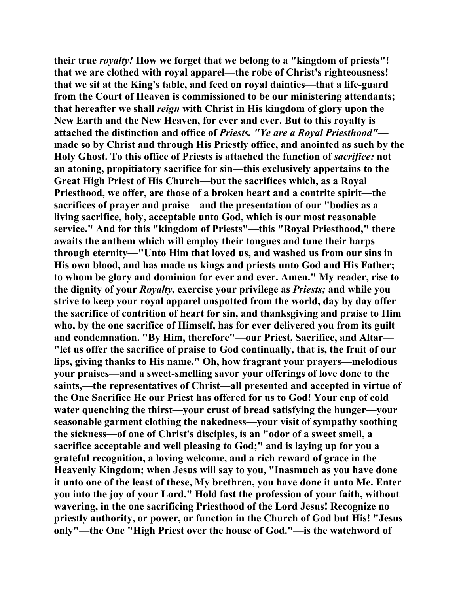**their true** *royalty!* **How we forget that we belong to a "kingdom of priests"! that we are clothed with royal apparel—the robe of Christ's righteousness! that we sit at the King's table, and feed on royal dainties—that a life-guard from the Court of Heaven is commissioned to be our ministering attendants; that hereafter we shall** *reign* **with Christ in His kingdom of glory upon the New Earth and the New Heaven, for ever and ever. But to this royalty is attached the distinction and office of** *Priests. "Ye are a Royal Priesthood"* **made so by Christ and through His Priestly office, and anointed as such by the Holy Ghost. To this office of Priests is attached the function of** *sacrifice:* **not an atoning, propitiatory sacrifice for sin—this exclusively appertains to the Great High Priest of His Church—but the sacrifices which, as a Royal Priesthood, we offer, are those of a broken heart and a contrite spirit—the sacrifices of prayer and praise—and the presentation of our "bodies as a living sacrifice, holy, acceptable unto God, which is our most reasonable service." And for this "kingdom of Priests"—this "Royal Priesthood," there awaits the anthem which will employ their tongues and tune their harps through eternity—"Unto Him that loved us, and washed us from our sins in His own blood, and has made us kings and priests unto God and His Father; to whom be glory and dominion for ever and ever. Amen." My reader, rise to the dignity of your** *Royalty,* **exercise your privilege as** *Priests;* **and while you strive to keep your royal apparel unspotted from the world, day by day offer the sacrifice of contrition of heart for sin, and thanksgiving and praise to Him who, by the one sacrifice of Himself, has for ever delivered you from its guilt and condemnation. "By Him, therefore"—our Priest, Sacrifice, and Altar— "let us offer the sacrifice of praise to God continually, that is, the fruit of our lips, giving thanks to His name." Oh, how fragrant your prayers—melodious your praises—and a sweet-smelling savor your offerings of love done to the saints,—the representatives of Christ—all presented and accepted in virtue of the One Sacrifice He our Priest has offered for us to God! Your cup of cold water quenching the thirst—your crust of bread satisfying the hunger—your seasonable garment clothing the nakedness—your visit of sympathy soothing the sickness—of one of Christ's disciples, is an "odor of a sweet smell, a sacrifice acceptable and well pleasing to God;" and is laying up for you a grateful recognition, a loving welcome, and a rich reward of grace in the Heavenly Kingdom; when Jesus will say to you, "Inasmuch as you have done it unto one of the least of these, My brethren, you have done it unto Me. Enter you into the joy of your Lord." Hold fast the profession of your faith, without wavering, in the one sacrificing Priesthood of the Lord Jesus! Recognize no priestly authority, or power, or function in the Church of God but His! "Jesus only"—the One "High Priest over the house of God."—is the watchword of**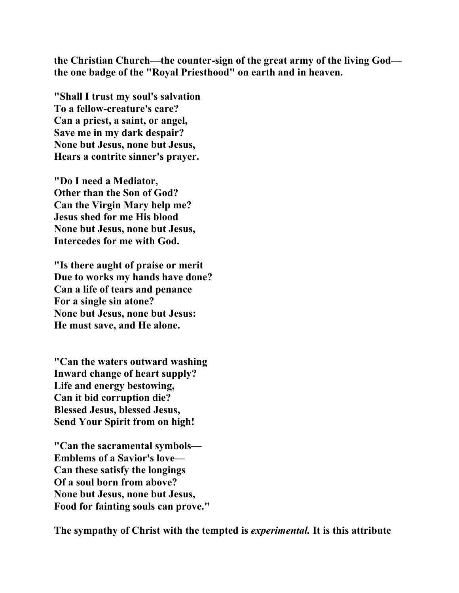**the Christian Church—the counter-sign of the great army of the living God the one badge of the "Royal Priesthood" on earth and in heaven.** 

**"Shall I trust my soul's salvation To a fellow-creature's care? Can a priest, a saint, or angel, Save me in my dark despair? None but Jesus, none but Jesus, Hears a contrite sinner's prayer.** 

**"Do I need a Mediator, Other than the Son of God? Can the Virgin Mary help me? Jesus shed for me His blood None but Jesus, none but Jesus, Intercedes for me with God.** 

**"Is there aught of praise or merit Due to works my hands have done? Can a life of tears and penance For a single sin atone? None but Jesus, none but Jesus: He must save, and He alone.** 

**"Can the waters outward washing Inward change of heart supply? Life and energy bestowing, Can it bid corruption die? Blessed Jesus, blessed Jesus, Send Your Spirit from on high!** 

**"Can the sacramental symbols— Emblems of a Savior's love— Can these satisfy the longings Of a soul born from above? None but Jesus, none but Jesus, Food for fainting souls can prove."** 

**The sympathy of Christ with the tempted is** *experimental.* **It is this attribute**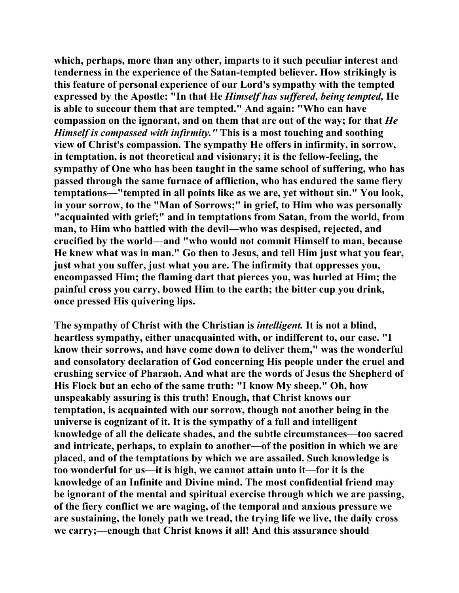**which, perhaps, more than any other, imparts to it such peculiar interest and tenderness in the experience of the Satan-tempted believer. How strikingly is this feature of personal experience of our Lord's sympathy with the tempted expressed by the Apostle: "In that He** *Himself has suffered, being tempted,* **He is able to succour them that are tempted." And again: "Who can have compassion on the ignorant, and on them that are out of the way; for that** *He Himself is compassed with infirmity."* **This is a most touching and soothing view of Christ's compassion. The sympathy He offers in infirmity, in sorrow, in temptation, is not theoretical and visionary; it is the fellow-feeling, the sympathy of One who has been taught in the same school of suffering, who has passed through the same furnace of affliction, who has endured the same fiery temptations—"tempted in all points like as we are, yet without sin." You look, in your sorrow, to the "Man of Sorrows;" in grief, to Him who was personally "acquainted with grief;" and in temptations from Satan, from the world, from man, to Him who battled with the devil—who was despised, rejected, and crucified by the world—and "who would not commit Himself to man, because He knew what was in man." Go then to Jesus, and tell Him just what you fear, just what you suffer, just what you are. The infirmity that oppresses you, encompassed Him; the flaming dart that pierces you, was hurled at Him; the painful cross you carry, bowed Him to the earth; the bitter cup you drink, once pressed His quivering lips.** 

**The sympathy of Christ with the Christian is** *intelligent.* **It is not a blind, heartless sympathy, either unacquainted with, or indifferent to, our case. "I know their sorrows, and have come down to deliver them," was the wonderful and consolatory declaration of God concerning His people under the cruel and crushing service of Pharaoh. And what are the words of Jesus the Shepherd of His Flock but an echo of the same truth: "I know My sheep." Oh, how unspeakably assuring is this truth! Enough, that Christ knows our temptation, is acquainted with our sorrow, though not another being in the universe is cognizant of it. It is the sympathy of a full and intelligent knowledge of all the delicate shades, and the subtle circumstances—too sacred and intricate, perhaps, to explain to another—of the position in which we are placed, and of the temptations by which we are assailed. Such knowledge is too wonderful for us—it is high, we cannot attain unto it—for it is the knowledge of an Infinite and Divine mind. The most confidential friend may be ignorant of the mental and spiritual exercise through which we are passing, of the fiery conflict we are waging, of the temporal and anxious pressure we are sustaining, the lonely path we tread, the trying life we live, the daily cross we carry;—enough that Christ knows it all! And this assurance should**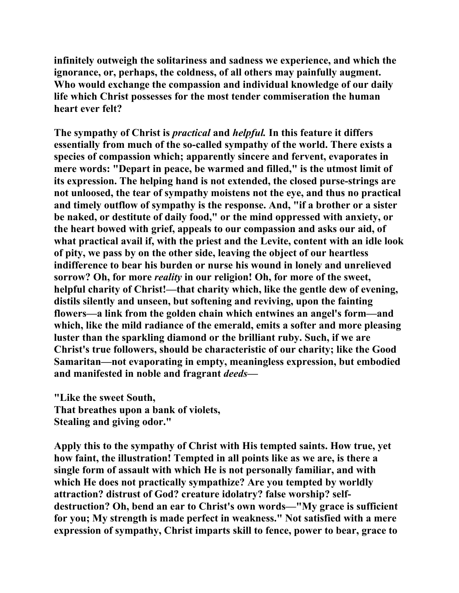**infinitely outweigh the solitariness and sadness we experience, and which the ignorance, or, perhaps, the coldness, of all others may painfully augment. Who would exchange the compassion and individual knowledge of our daily life which Christ possesses for the most tender commiseration the human heart ever felt?** 

**The sympathy of Christ is** *practical* **and** *helpful.* **In this feature it differs essentially from much of the so-called sympathy of the world. There exists a species of compassion which; apparently sincere and fervent, evaporates in mere words: "Depart in peace, be warmed and filled," is the utmost limit of its expression. The helping hand is not extended, the closed purse-strings are not unloosed, the tear of sympathy moistens not the eye, and thus no practical and timely outflow of sympathy is the response. And, "if a brother or a sister be naked, or destitute of daily food," or the mind oppressed with anxiety, or the heart bowed with grief, appeals to our compassion and asks our aid, of what practical avail if, with the priest and the Levite, content with an idle look of pity, we pass by on the other side, leaving the object of our heartless indifference to bear his burden or nurse his wound in lonely and unrelieved sorrow? Oh, for more** *reality* **in our religion! Oh, for more of the sweet, helpful charity of Christ!—that charity which, like the gentle dew of evening, distils silently and unseen, but softening and reviving, upon the fainting flowers—a link from the golden chain which entwines an angel's form—and which, like the mild radiance of the emerald, emits a softer and more pleasing luster than the sparkling diamond or the brilliant ruby. Such, if we are Christ's true followers, should be characteristic of our charity; like the Good Samaritan—not evaporating in empty, meaningless expression, but embodied and manifested in noble and fragrant** *deeds—* 

**"Like the sweet South, That breathes upon a bank of violets, Stealing and giving odor."** 

**Apply this to the sympathy of Christ with His tempted saints. How true, yet how faint, the illustration! Tempted in all points like as we are, is there a single form of assault with which He is not personally familiar, and with which He does not practically sympathize? Are you tempted by worldly attraction? distrust of God? creature idolatry? false worship? selfdestruction? Oh, bend an ear to Christ's own words—"My grace is sufficient for you; My strength is made perfect in weakness." Not satisfied with a mere expression of sympathy, Christ imparts skill to fence, power to bear, grace to**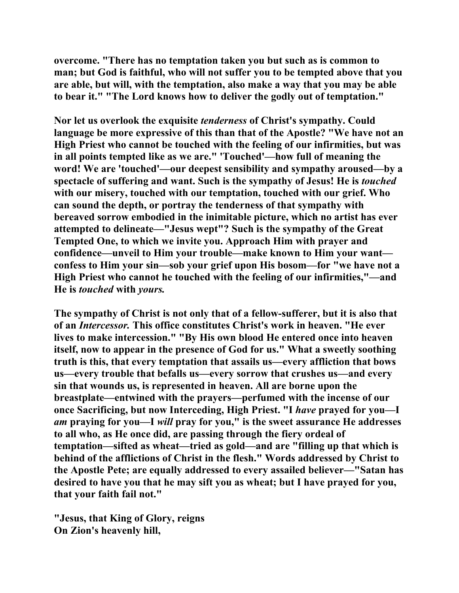**overcome. "There has no temptation taken you but such as is common to man; but God is faithful, who will not suffer you to be tempted above that you are able, but will, with the temptation, also make a way that you may be able to bear it." "The Lord knows how to deliver the godly out of temptation."** 

**Nor let us overlook the exquisite** *tenderness* **of Christ's sympathy. Could language be more expressive of this than that of the Apostle? "We have not an High Priest who cannot be touched with the feeling of our infirmities, but was in all points tempted like as we are." 'Touched'—how full of meaning the word! We are 'touched'—our deepest sensibility and sympathy aroused—by a spectacle of suffering and want. Such is the sympathy of Jesus! He is** *touched*  **with our misery, touched with our temptation, touched with our grief. Who can sound the depth, or portray the tenderness of that sympathy with bereaved sorrow embodied in the inimitable picture, which no artist has ever attempted to delineate—"Jesus wept"? Such is the sympathy of the Great Tempted One, to which we invite you. Approach Him with prayer and confidence—unveil to Him your trouble—make known to Him your want confess to Him your sin—sob your grief upon His bosom—for "we have not a High Priest who cannot he touched with the feeling of our infirmities,"—and He is** *touched* **with** *yours.* 

**The sympathy of Christ is not only that of a fellow-sufferer, but it is also that of an** *Intercessor.* **This office constitutes Christ's work in heaven. "He ever lives to make intercession." "By His own blood He entered once into heaven itself, now to appear in the presence of God for us." What a sweetly soothing truth is this, that every temptation that assails us—every affliction that bows us—every trouble that befalls us—every sorrow that crushes us—and every sin that wounds us, is represented in heaven. All are borne upon the breastplate—entwined with the prayers—perfumed with the incense of our once Sacrificing, but now Interceding, High Priest. "I** *have* **prayed for you—I**  *am* **praying for you—I** *will* **pray for you," is the sweet assurance He addresses to all who, as He once did, are passing through the fiery ordeal of temptation—sifted as wheat—tried as gold—and are "filling up that which is behind of the afflictions of Christ in the flesh." Words addressed by Christ to the Apostle Pete; are equally addressed to every assailed believer—"Satan has desired to have you that he may sift you as wheat; but I have prayed for you, that your faith fail not."** 

**"Jesus, that King of Glory, reigns On Zion's heavenly hill,**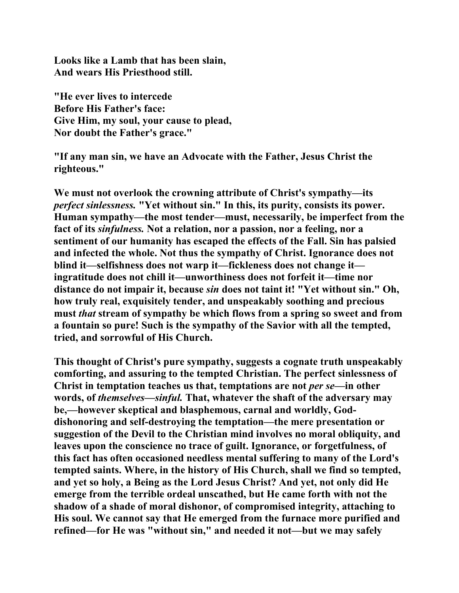**Looks like a Lamb that has been slain, And wears His Priesthood still.** 

**"He ever lives to intercede Before His Father's face: Give Him, my soul, your cause to plead, Nor doubt the Father's grace."** 

**"If any man sin, we have an Advocate with the Father, Jesus Christ the righteous."** 

**We must not overlook the crowning attribute of Christ's sympathy—its**  *perfect sinlessness.* **"Yet without sin." In this, its purity, consists its power. Human sympathy—the most tender—must, necessarily, be imperfect from the fact of its** *sinfulness.* **Not a relation, nor a passion, nor a feeling, nor a sentiment of our humanity has escaped the effects of the Fall. Sin has palsied and infected the whole. Not thus the sympathy of Christ. Ignorance does not blind it—selfishness does not warp it—fickleness does not change it ingratitude does not chill it—unworthiness does not forfeit it—time nor distance do not impair it, because** *sin* **does not taint it! "Yet without sin." Oh, how truly real, exquisitely tender, and unspeakably soothing and precious must** *that* **stream of sympathy be which flows from a spring so sweet and from a fountain so pure! Such is the sympathy of the Savior with all the tempted, tried, and sorrowful of His Church.** 

**This thought of Christ's pure sympathy, suggests a cognate truth unspeakably comforting, and assuring to the tempted Christian. The perfect sinlessness of Christ in temptation teaches us that, temptations are not** *per se—***in other words, of** *themselves—sinful.* **That, whatever the shaft of the adversary may be,—however skeptical and blasphemous, carnal and worldly, Goddishonoring and self-destroying the temptation—the mere presentation or suggestion of the Devil to the Christian mind involves no moral obliquity, and leaves upon the conscience no trace of guilt. Ignorance, or forgetfulness, of this fact has often occasioned needless mental suffering to many of the Lord's tempted saints. Where, in the history of His Church, shall we find so tempted, and yet so holy, a Being as the Lord Jesus Christ? And yet, not only did He emerge from the terrible ordeal unscathed, but He came forth with not the shadow of a shade of moral dishonor, of compromised integrity, attaching to His soul. We cannot say that He emerged from the furnace more purified and refined—for He was "without sin," and needed it not—but we may safely**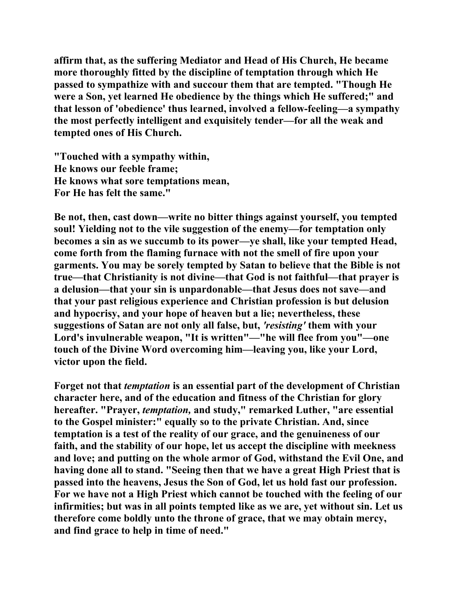**affirm that, as the suffering Mediator and Head of His Church, He became more thoroughly fitted by the discipline of temptation through which He passed to sympathize with and succour them that are tempted. "Though He were a Son, yet learned He obedience by the things which He suffered;" and that lesson of 'obedience' thus learned, involved a fellow-feeling—a sympathy the most perfectly intelligent and exquisitely tender—for all the weak and tempted ones of His Church.** 

**"Touched with a sympathy within, He knows our feeble frame; He knows what sore temptations mean, For He has felt the same."** 

**Be not, then, cast down—write no bitter things against yourself, you tempted soul! Yielding not to the vile suggestion of the enemy—for temptation only becomes a sin as we succumb to its power—ye shall, like your tempted Head, come forth from the flaming furnace with not the smell of fire upon your garments. You may be sorely tempted by Satan to believe that the Bible is not true—that Christianity is not divine—that God is not faithful—that prayer is a delusion—that your sin is unpardonable—that Jesus does not save—and that your past religious experience and Christian profession is but delusion and hypocrisy, and your hope of heaven but a lie; nevertheless, these suggestions of Satan are not only all false, but,** *'resisting'* **them with your Lord's invulnerable weapon, "It is written"—"he will flee from you"—one touch of the Divine Word overcoming him—leaving you, like your Lord, victor upon the field.** 

**Forget not that** *temptation* **is an essential part of the development of Christian character here, and of the education and fitness of the Christian for glory hereafter. "Prayer,** *temptation,* **and study," remarked Luther, "are essential to the Gospel minister:" equally so to the private Christian. And, since temptation is a test of the reality of our grace, and the genuineness of our faith, and the stability of our hope, let us accept the discipline with meekness and love; and putting on the whole armor of God, withstand the Evil One, and having done all to stand. "Seeing then that we have a great High Priest that is passed into the heavens, Jesus the Son of God, let us hold fast our profession. For we have not a High Priest which cannot be touched with the feeling of our infirmities; but was in all points tempted like as we are, yet without sin. Let us therefore come boldly unto the throne of grace, that we may obtain mercy, and find grace to help in time of need."**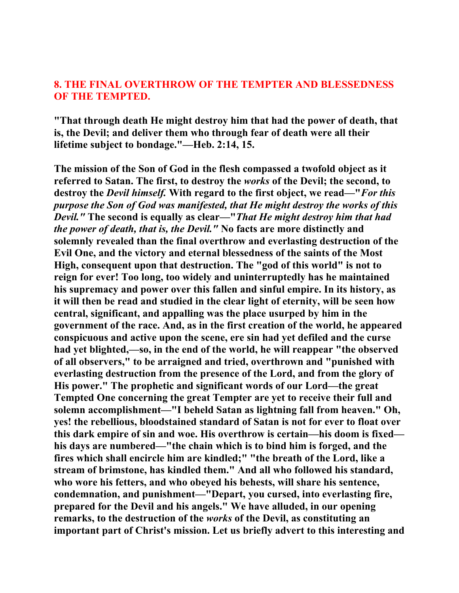# **8. THE FINAL OVERTHROW OF THE TEMPTER AND BLESSEDNESS OF THE TEMPTED.**

**"That through death He might destroy him that had the power of death, that is, the Devil; and deliver them who through fear of death were all their lifetime subject to bondage."—Heb. 2:14, 15.** 

**The mission of the Son of God in the flesh compassed a twofold object as it referred to Satan. The first, to destroy the** *works* **of the Devil; the second, to destroy the** *Devil himself.* **With regard to the first object, we read—"***For this purpose the Son of God was manifested, that He might destroy the works of this Devil."* **The second is equally as clear—"***That He might destroy him that had the power of death, that is, the Devil."* **No facts are more distinctly and solemnly revealed than the final overthrow and everlasting destruction of the Evil One, and the victory and eternal blessedness of the saints of the Most High, consequent upon that destruction. The "god of this world" is not to reign for ever! Too long, too widely and uninterruptedly has he maintained his supremacy and power over this fallen and sinful empire. In its history, as it will then be read and studied in the clear light of eternity, will be seen how central, significant, and appalling was the place usurped by him in the government of the race. And, as in the first creation of the world, he appeared conspicuous and active upon the scene, ere sin had yet defiled and the curse had yet blighted,—so, in the end of the world, he will reappear "the observed of all observers," to be arraigned and tried, overthrown and "punished with everlasting destruction from the presence of the Lord, and from the glory of His power." The prophetic and significant words of our Lord—the great Tempted One concerning the great Tempter are yet to receive their full and solemn accomplishment—"I beheld Satan as lightning fall from heaven." Oh, yes! the rebellious, bloodstained standard of Satan is not for ever to float over this dark empire of sin and woe. His overthrow is certain—his doom is fixed his days are numbered—"the chain which is to bind him is forged, and the fires which shall encircle him are kindled;" "the breath of the Lord, like a stream of brimstone, has kindled them." And all who followed his standard, who wore his fetters, and who obeyed his behests, will share his sentence, condemnation, and punishment—"Depart, you cursed, into everlasting fire, prepared for the Devil and his angels." We have alluded, in our opening remarks, to the destruction of the** *works* **of the Devil, as constituting an important part of Christ's mission. Let us briefly advert to this interesting and**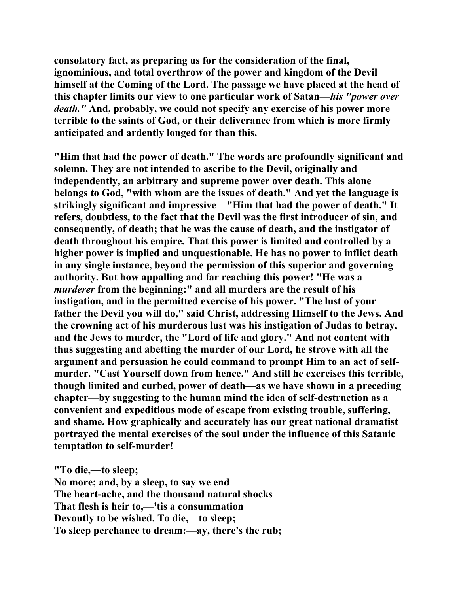**consolatory fact, as preparing us for the consideration of the final, ignominious, and total overthrow of the power and kingdom of the Devil himself at the Coming of the Lord. The passage we have placed at the head of this chapter limits our view to one particular work of Satan—***his "power over death."* **And, probably, we could not specify any exercise of his power more terrible to the saints of God, or their deliverance from which is more firmly anticipated and ardently longed for than this.** 

**"Him that had the power of death." The words are profoundly significant and solemn. They are not intended to ascribe to the Devil, originally and independently, an arbitrary and supreme power over death. This alone belongs to God, "with whom are the issues of death." And yet the language is strikingly significant and impressive—"Him that had the power of death." It refers, doubtless, to the fact that the Devil was the first introducer of sin, and consequently, of death; that he was the cause of death, and the instigator of death throughout his empire. That this power is limited and controlled by a higher power is implied and unquestionable. He has no power to inflict death in any single instance, beyond the permission of this superior and governing authority. But how appalling and far reaching this power! "He was a**  *murderer* **from the beginning:" and all murders are the result of his instigation, and in the permitted exercise of his power. "The lust of your father the Devil you will do," said Christ, addressing Himself to the Jews. And the crowning act of his murderous lust was his instigation of Judas to betray, and the Jews to murder, the "Lord of life and glory." And not content with thus suggesting and abetting the murder of our Lord, he strove with all the argument and persuasion he could command to prompt Him to an act of selfmurder. "Cast Yourself down from hence." And still he exercises this terrible, though limited and curbed, power of death—as we have shown in a preceding chapter—by suggesting to the human mind the idea of self-destruction as a convenient and expeditious mode of escape from existing trouble, suffering, and shame. How graphically and accurately has our great national dramatist portrayed the mental exercises of the soul under the influence of this Satanic temptation to self-murder!** 

**"To die,—to sleep; No more; and, by a sleep, to say we end The heart-ache, and the thousand natural shocks That flesh is heir to,—'tis a consummation Devoutly to be wished. To die,—to sleep;— To sleep perchance to dream:—ay, there's the rub;**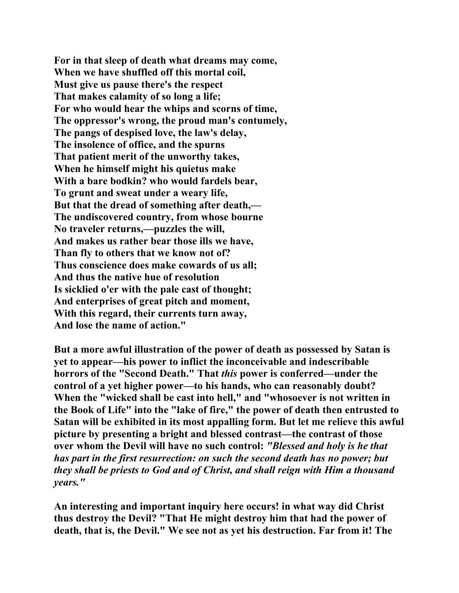**For in that sleep of death what dreams may come, When we have shuffled off this mortal coil, Must give us pause there's the respect That makes calamity of so long a life; For who would hear the whips and scorns of time, The oppressor's wrong, the proud man's contumely, The pangs of despised love, the law's delay, The insolence of office, and the spurns That patient merit of the unworthy takes, When he himself might his quietus make With a bare bodkin? who would fardels bear, To grunt and sweat under a weary life, But that the dread of something after death,— The undiscovered country, from whose bourne No traveler returns,—puzzles the will, And makes us rather bear those ills we have, Than fly to others that we know not of? Thus conscience does make cowards of us all; And thus the native hue of resolution Is sicklied o'er with the pale cast of thought; And enterprises of great pitch and moment, With this regard, their currents turn away, And lose the name of action."** 

**But a more awful illustration of the power of death as possessed by Satan is yet to appear—his power to inflict the inconceivable and indescribable horrors of the "Second Death." That** *this* **power is conferred—under the control of a yet higher power—to his hands, who can reasonably doubt? When the "wicked shall be cast into hell," and "whosoever is not written in the Book of Life" into the "lake of fire," the power of death then entrusted to Satan will be exhibited in its most appalling form. But let me relieve this awful picture by presenting a bright and blessed contrast—the contrast of those over whom the Devil will have no such control:** *"Blessed and holy is he that has part in the first resurrection: on such the second death has no power; but they shall be priests to God and of Christ, and shall reign with Him a thousand years."*

**An interesting and important inquiry here occurs! in what way did Christ thus destroy the Devil? "That He might destroy him that had the power of death, that is, the Devil." We see not as yet his destruction. Far from it! The**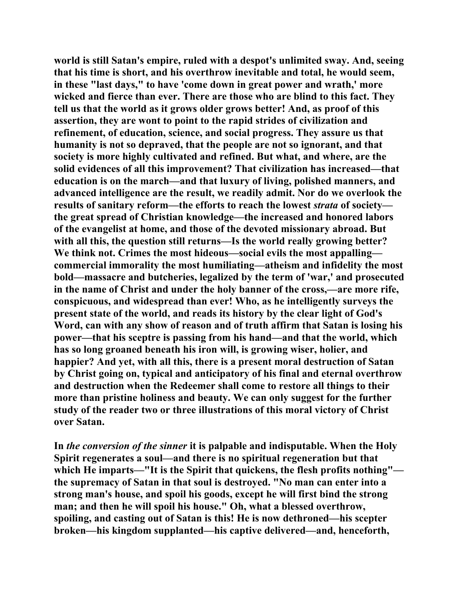**world is still Satan's empire, ruled with a despot's unlimited sway. And, seeing that his time is short, and his overthrow inevitable and total, he would seem, in these "last days," to have 'come down in great power and wrath,' more wicked and fierce than ever. There are those who are blind to this fact. They tell us that the world as it grows older grows better! And, as proof of this assertion, they are wont to point to the rapid strides of civilization and refinement, of education, science, and social progress. They assure us that humanity is not so depraved, that the people are not so ignorant, and that society is more highly cultivated and refined. But what, and where, are the solid evidences of all this improvement? That civilization has increased—that education is on the march—and that luxury of living, polished manners, and advanced intelligence are the result, we readily admit. Nor do we overlook the results of sanitary reform—the efforts to reach the lowest** *strata* **of society the great spread of Christian knowledge—the increased and honored labors of the evangelist at home, and those of the devoted missionary abroad. But with all this, the question still returns—Is the world really growing better? We think not. Crimes the most hideous—social evils the most appalling commercial immorality the most humiliating—atheism and infidelity the most bold—massacre and butcheries, legalized by the term of 'war,' and prosecuted in the name of Christ and under the holy banner of the cross,—are more rife, conspicuous, and widespread than ever! Who, as he intelligently surveys the present state of the world, and reads its history by the clear light of God's Word, can with any show of reason and of truth affirm that Satan is losing his power—that his sceptre is passing from his hand—and that the world, which has so long groaned beneath his iron will, is growing wiser, holier, and happier? And yet, with all this, there is a present moral destruction of Satan by Christ going on, typical and anticipatory of his final and eternal overthrow and destruction when the Redeemer shall come to restore all things to their more than pristine holiness and beauty. We can only suggest for the further study of the reader two or three illustrations of this moral victory of Christ over Satan.** 

**In** *the conversion of the sinner* **it is palpable and indisputable. When the Holy Spirit regenerates a soul—and there is no spiritual regeneration but that which He imparts—"It is the Spirit that quickens, the flesh profits nothing" the supremacy of Satan in that soul is destroyed. "No man can enter into a strong man's house, and spoil his goods, except he will first bind the strong man; and then he will spoil his house." Oh, what a blessed overthrow, spoiling, and casting out of Satan is this! He is now dethroned—his scepter broken—his kingdom supplanted—his captive delivered—and, henceforth,**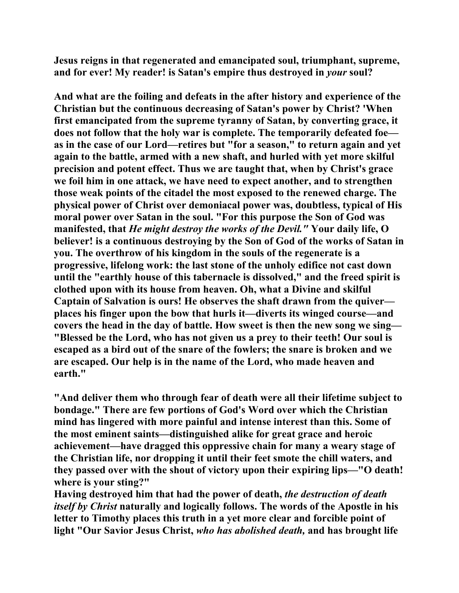**Jesus reigns in that regenerated and emancipated soul, triumphant, supreme, and for ever! My reader! is Satan's empire thus destroyed in** *your* **soul?** 

**And what are the foiling and defeats in the after history and experience of the Christian but the continuous decreasing of Satan's power by Christ? 'When first emancipated from the supreme tyranny of Satan, by converting grace, it does not follow that the holy war is complete. The temporarily defeated foe as in the case of our Lord—retires but "for a season," to return again and yet again to the battle, armed with a new shaft, and hurled with yet more skilful precision and potent effect. Thus we are taught that, when by Christ's grace we foil him in one attack, we have need to expect another, and to strengthen those weak points of the citadel the most exposed to the renewed charge. The physical power of Christ over demoniacal power was, doubtless, typical of His moral power over Satan in the soul. "For this purpose the Son of God was manifested, that** *He might destroy the works of the Devil."* **Your daily life, O believer! is a continuous destroying by the Son of God of the works of Satan in you. The overthrow of his kingdom in the souls of the regenerate is a progressive, lifelong work: the last stone of the unholy edifice not cast down until the "earthly house of this tabernacle is dissolved," and the freed spirit is clothed upon with its house from heaven. Oh, what a Divine and skilful Captain of Salvation is ours! He observes the shaft drawn from the quiver places his finger upon the bow that hurls it—diverts its winged course—and covers the head in the day of battle. How sweet is then the new song we sing— "Blessed be the Lord, who has not given us a prey to their teeth! Our soul is escaped as a bird out of the snare of the fowlers; the snare is broken and we are escaped. Our help is in the name of the Lord, who made heaven and earth."** 

**"And deliver them who through fear of death were all their lifetime subject to bondage." There are few portions of God's Word over which the Christian mind has lingered with more painful and intense interest than this. Some of the most eminent saints—distinguished alike for great grace and heroic achievement—have dragged this oppressive chain for many a weary stage of the Christian life, nor dropping it until their feet smote the chill waters, and they passed over with the shout of victory upon their expiring lips—"O death! where is your sting?"** 

**Having destroyed him that had the power of death,** *the destruction of death itself by Christ* **naturally and logically follows. The words of the Apostle in his letter to Timothy places this truth in a yet more clear and forcible point of light "Our Savior Jesus Christ,** *who has abolished death,* **and has brought life**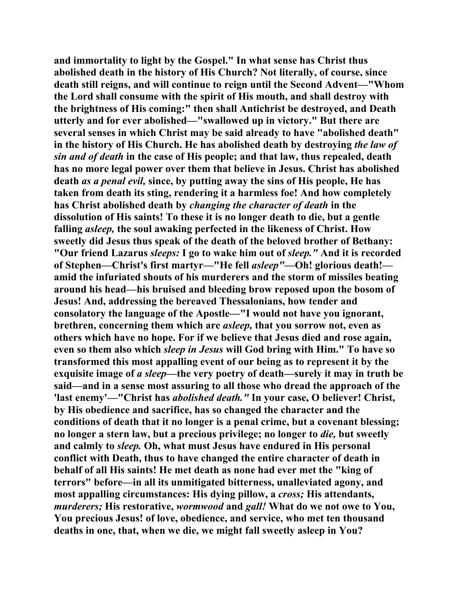**and immortality to light by the Gospel." In what sense has Christ thus abolished death in the history of His Church? Not literally, of course, since death still reigns, and will continue to reign until the Second Advent—"Whom the Lord shall consume with the spirit of His mouth, and shall destroy with the brightness of His coming:" then shall Antichrist be destroyed, and Death utterly and for ever abolished—"swallowed up in victory." But there are several senses in which Christ may be said already to have "abolished death" in the history of His Church. He has abolished death by destroying** *the law of sin and of death* **in the case of His people; and that law, thus repealed, death has no more legal power over them that believe in Jesus. Christ has abolished death** *as a penal evil,* **since, by putting away the sins of His people, He has taken from death its sting, rendering it a harmless foe! And how completely has Christ abolished death by** *changing the character of death* **in the dissolution of His saints! To these it is no longer death to die, but a gentle falling** *asleep,* **the soul awaking perfected in the likeness of Christ. How sweetly did Jesus thus speak of the death of the beloved brother of Bethany: "Our friend Lazarus** *sleeps:* **I go to wake him out of** *sleep."* **And it is recorded of Stephen—Christ's first martyr—"He fell** *asleep"***—Oh! glorious death! amid the infuriated shouts of his murderers and the storm of missiles beating around his head—his bruised and bleeding brow reposed upon the bosom of Jesus! And, addressing the bereaved Thessalonians, how tender and consolatory the language of the Apostle—"I would not have you ignorant, brethren, concerning them which are** *asleep,* **that you sorrow not, even as others which have no hope. For if we believe that Jesus died and rose again, even so them also which** *sleep in Jesus* **will God bring with Him." To have so transformed this most appalling event of our being as to represent it by the exquisite image of** *a sleep—***the very poetry of death—surely it may in truth be said—and in a sense most assuring to all those who dread the approach of the 'last enemy'—"Christ has** *abolished death."* **In your case, O believer! Christ, by His obedience and sacrifice, has so changed the character and the conditions of death that it no longer is a penal crime, but a covenant blessing; no longer a stern law, but a precious privilege; no longer to** *die,* **but sweetly and calmly to** *sleep.* **Oh, what must Jesus have endured in His personal conflict with Death, thus to have changed the entire character of death in behalf of all His saints! He met death as none had ever met the "king of terrors" before—in all its unmitigated bitterness, unalleviated agony, and most appalling circumstances: His dying pillow, a** *cross;* **His attendants,**  *murderers;* **His restorative,** *wormwood* **and** *gall!* **What do we not owe to You, You precious Jesus! of love, obedience, and service, who met ten thousand deaths in one, that, when we die, we might fall sweetly asleep in You?**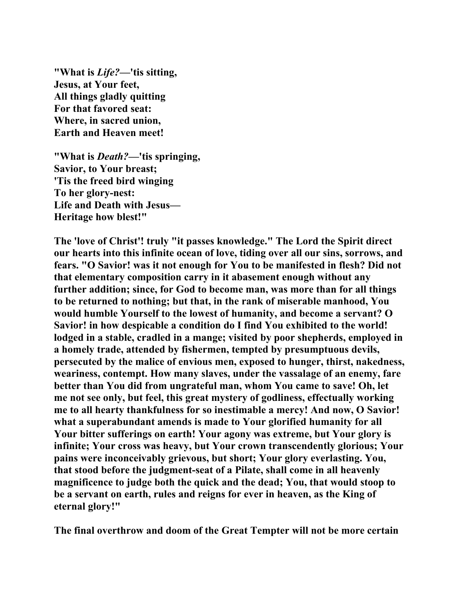**"What is** *Life?***—'tis sitting, Jesus, at Your feet, All things gladly quitting For that favored seat: Where, in sacred union, Earth and Heaven meet!** 

**"What is** *Death?***—'tis springing, Savior, to Your breast; 'Tis the freed bird winging To her glory-nest: Life and Death with Jesus— Heritage how blest!"** 

**The 'love of Christ'! truly "it passes knowledge." The Lord the Spirit direct our hearts into this infinite ocean of love, tiding over all our sins, sorrows, and fears. "O Savior! was it not enough for You to be manifested in flesh? Did not that elementary composition carry in it abasement enough without any further addition; since, for God to become man, was more than for all things to be returned to nothing; but that, in the rank of miserable manhood, You would humble Yourself to the lowest of humanity, and become a servant? O Savior! in how despicable a condition do I find You exhibited to the world! lodged in a stable, cradled in a mange; visited by poor shepherds, employed in a homely trade, attended by fishermen, tempted by presumptuous devils, persecuted by the malice of envious men, exposed to hunger, thirst, nakedness, weariness, contempt. How many slaves, under the vassalage of an enemy, fare better than You did from ungrateful man, whom You came to save! Oh, let me not see only, but feel, this great mystery of godliness, effectually working me to all hearty thankfulness for so inestimable a mercy! And now, O Savior! what a superabundant amends is made to Your glorified humanity for all Your bitter sufferings on earth! Your agony was extreme, but Your glory is infinite; Your cross was heavy, but Your crown transcendently glorious; Your pains were inconceivably grievous, but short; Your glory everlasting. You, that stood before the judgment-seat of a Pilate, shall come in all heavenly magnificence to judge both the quick and the dead; You, that would stoop to be a servant on earth, rules and reigns for ever in heaven, as the King of eternal glory!"** 

**The final overthrow and doom of the Great Tempter will not be more certain**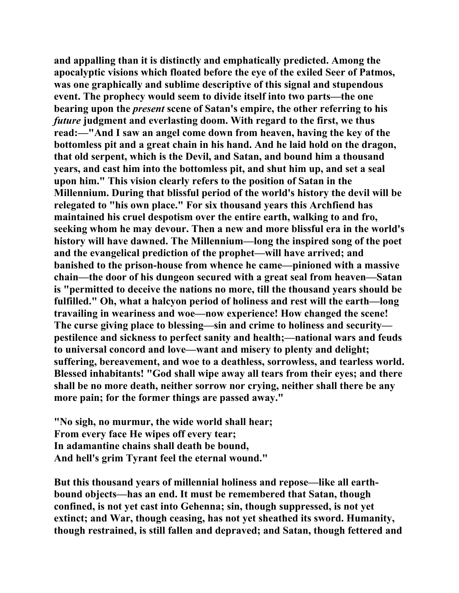**and appalling than it is distinctly and emphatically predicted. Among the apocalyptic visions which floated before the eye of the exiled Seer of Patmos, was one graphically and sublime descriptive of this signal and stupendous event. The prophecy would seem to divide itself into two parts—the one bearing upon the** *present* **scene of Satan's empire, the other referring to his**  *future* **judgment and everlasting doom. With regard to the first, we thus read:—"And I saw an angel come down from heaven, having the key of the bottomless pit and a great chain in his hand. And he laid hold on the dragon, that old serpent, which is the Devil, and Satan, and bound him a thousand years, and cast him into the bottomless pit, and shut him up, and set a seal upon him." This vision clearly refers to the position of Satan in the Millennium. During that blissful period of the world's history the devil will be relegated to "his own place." For six thousand years this Archfiend has maintained his cruel despotism over the entire earth, walking to and fro, seeking whom he may devour. Then a new and more blissful era in the world's history will have dawned. The Millennium—long the inspired song of the poet and the evangelical prediction of the prophet—will have arrived; and banished to the prison-house from whence he came—pinioned with a massive chain—the door of his dungeon secured with a great seal from heaven—Satan is "permitted to deceive the nations no more, till the thousand years should be fulfilled." Oh, what a halcyon period of holiness and rest will the earth—long travailing in weariness and woe—now experience! How changed the scene! The curse giving place to blessing—sin and crime to holiness and security pestilence and sickness to perfect sanity and health;—national wars and feuds to universal concord and love—want and misery to plenty and delight; suffering, bereavement, and woe to a deathless, sorrowless, and tearless world. Blessed inhabitants! "God shall wipe away all tears from their eyes; and there shall be no more death, neither sorrow nor crying, neither shall there be any more pain; for the former things are passed away."** 

**"No sigh, no murmur, the wide world shall hear; From every face He wipes off every tear; In adamantine chains shall death be bound, And hell's grim Tyrant feel the eternal wound."** 

**But this thousand years of millennial holiness and repose—like all earthbound objects—has an end. It must be remembered that Satan, though confined, is not yet cast into Gehenna; sin, though suppressed, is not yet extinct; and War, though ceasing, has not yet sheathed its sword. Humanity, though restrained, is still fallen and depraved; and Satan, though fettered and**